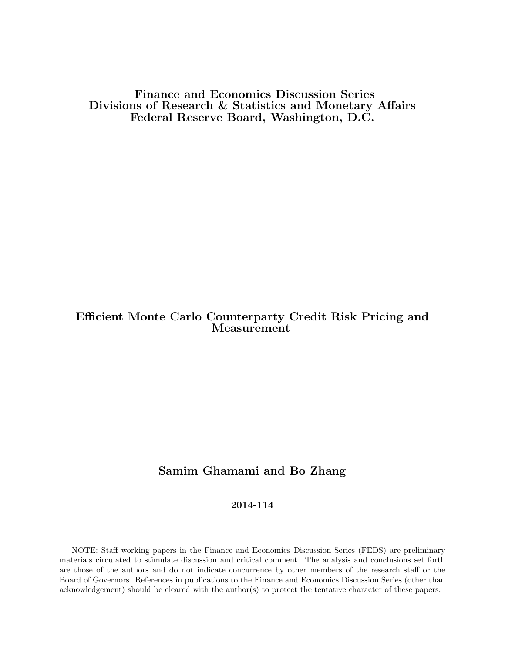Finance and Economics Discussion Series Divisions of Research & Statistics and Monetary Affairs Federal Reserve Board, Washington, D.C.

# Efficient Monte Carlo Counterparty Credit Risk Pricing and Measurement

## Samim Ghamami and Bo Zhang

### 2014-114

NOTE: Staff working papers in the Finance and Economics Discussion Series (FEDS) are preliminary materials circulated to stimulate discussion and critical comment. The analysis and conclusions set forth are those of the authors and do not indicate concurrence by other members of the research staff or the Board of Governors. References in publications to the Finance and Economics Discussion Series (other than acknowledgement) should be cleared with the author(s) to protect the tentative character of these papers.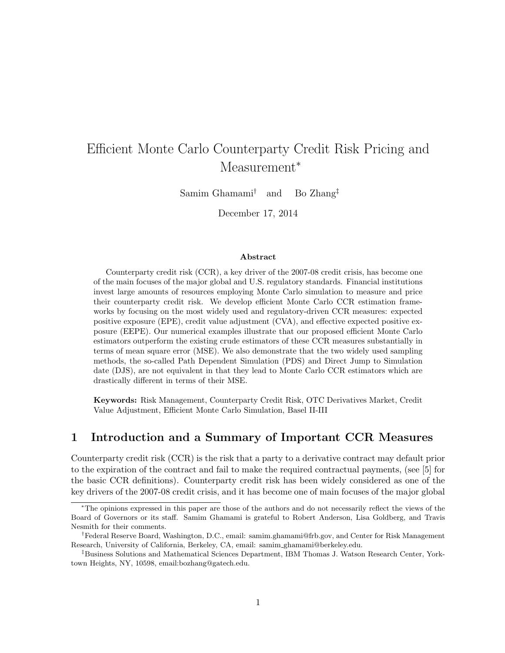# Efficient Monte Carlo Counterparty Credit Risk Pricing and Measurement<sup>\*</sup>

Samim Ghamami† and Bo Zhang‡

December 17, 2014

#### Abstract

Counterparty credit risk (CCR), a key driver of the 2007-08 credit crisis, has become one of the main focuses of the major global and U.S. regulatory standards. Financial institutions invest large amounts of resources employing Monte Carlo simulation to measure and price their counterparty credit risk. We develop efficient Monte Carlo CCR estimation frameworks by focusing on the most widely used and regulatory-driven CCR measures: expected positive exposure (EPE), credit value adjustment (CVA), and effective expected positive exposure (EEPE). Our numerical examples illustrate that our proposed efficient Monte Carlo estimators outperform the existing crude estimators of these CCR measures substantially in terms of mean square error (MSE). We also demonstrate that the two widely used sampling methods, the so-called Path Dependent Simulation (PDS) and Direct Jump to Simulation date (DJS), are not equivalent in that they lead to Monte Carlo CCR estimators which are drastically different in terms of their MSE.

Keywords: Risk Management, Counterparty Credit Risk, OTC Derivatives Market, Credit Value Adjustment, Efficient Monte Carlo Simulation, Basel II-III

### 1 Introduction and a Summary of Important CCR Measures

Counterparty credit risk (CCR) is the risk that a party to a derivative contract may default prior to the expiration of the contract and fail to make the required contractual payments, (see [5] for the basic CCR definitions). Counterparty credit risk has been widely considered as one of the key drivers of the 2007-08 credit crisis, and it has become one of main focuses of the major global

<sup>∗</sup>The opinions expressed in this paper are those of the authors and do not necessarily reflect the views of the Board of Governors or its staff. Samim Ghamami is grateful to Robert Anderson, Lisa Goldberg, and Travis Nesmith for their comments.

<sup>†</sup>Federal Reserve Board, Washington, D.C., email: samim.ghamami@frb.gov, and Center for Risk Management Research, University of California, Berkeley, CA, email: samim ghamami@berkeley.edu.

<sup>‡</sup>Business Solutions and Mathematical Sciences Department, IBM Thomas J. Watson Research Center, Yorktown Heights, NY, 10598, email:bozhang@gatech.edu.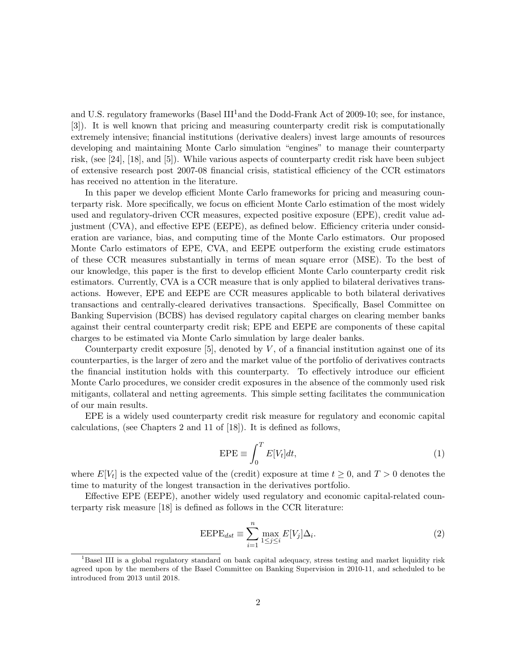and U.S. regulatory frameworks (Basel  $III<sup>1</sup>$  and the Dodd-Frank Act of 2009-10; see, for instance, [3]). It is well known that pricing and measuring counterparty credit risk is computationally extremely intensive; financial institutions (derivative dealers) invest large amounts of resources developing and maintaining Monte Carlo simulation "engines" to manage their counterparty risk, (see [24], [18], and [5]). While various aspects of counterparty credit risk have been subject of extensive research post 2007-08 financial crisis, statistical efficiency of the CCR estimators has received no attention in the literature.

In this paper we develop efficient Monte Carlo frameworks for pricing and measuring counterparty risk. More specifically, we focus on efficient Monte Carlo estimation of the most widely used and regulatory-driven CCR measures, expected positive exposure (EPE), credit value adjustment (CVA), and effective EPE (EEPE), as defined below. Efficiency criteria under consideration are variance, bias, and computing time of the Monte Carlo estimators. Our proposed Monte Carlo estimators of EPE, CVA, and EEPE outperform the existing crude estimators of these CCR measures substantially in terms of mean square error (MSE). To the best of our knowledge, this paper is the first to develop efficient Monte Carlo counterparty credit risk estimators. Currently, CVA is a CCR measure that is only applied to bilateral derivatives transactions. However, EPE and EEPE are CCR measures applicable to both bilateral derivatives transactions and centrally-cleared derivatives transactions. Specifically, Basel Committee on Banking Supervision (BCBS) has devised regulatory capital charges on clearing member banks against their central counterparty credit risk; EPE and EEPE are components of these capital charges to be estimated via Monte Carlo simulation by large dealer banks.

Counterparty credit exposure  $[5]$ , denoted by V, of a financial institution against one of its counterparties, is the larger of zero and the market value of the portfolio of derivatives contracts the financial institution holds with this counterparty. To effectively introduce our efficient Monte Carlo procedures, we consider credit exposures in the absence of the commonly used risk mitigants, collateral and netting agreements. This simple setting facilitates the communication of our main results.

EPE is a widely used counterparty credit risk measure for regulatory and economic capital calculations, (see Chapters 2 and 11 of [18]). It is defined as follows,

$$
EPE \equiv \int_0^T E[V_t]dt,\tag{1}
$$

where  $E[V_t]$  is the expected value of the (credit) exposure at time  $t \geq 0$ , and  $T > 0$  denotes the time to maturity of the longest transaction in the derivatives portfolio.

Effective EPE (EEPE), another widely used regulatory and economic capital-related counterparty risk measure [18] is defined as follows in the CCR literature:

$$
EEPE_{dst} \equiv \sum_{i=1}^{n} \max_{1 \le j \le i} E[V_j] \Delta_i.
$$
 (2)

<sup>&</sup>lt;sup>1</sup>Basel III is a global regulatory standard on bank capital adequacy, stress testing and market liquidity risk agreed upon by the members of the Basel Committee on Banking Supervision in 2010-11, and scheduled to be introduced from 2013 until 2018.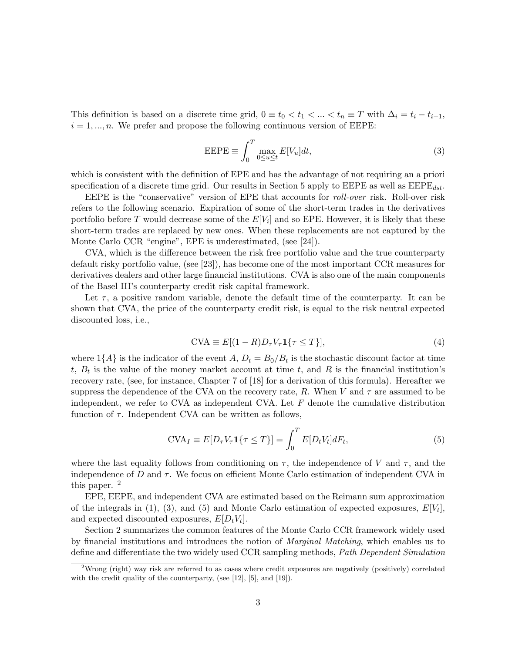This definition is based on a discrete time grid,  $0 \equiv t_0 < t_1 < ... < t_n \equiv T$  with  $\Delta_i = t_i - t_{i-1}$ ,  $i = 1, \ldots, n$ . We prefer and propose the following continuous version of EEPE:

$$
EEPE \equiv \int_0^T \max_{0 \le u \le t} E[V_u] dt,\tag{3}
$$

which is consistent with the definition of EPE and has the advantage of not requiring an a priori specification of a discrete time grid. Our results in Section 5 apply to EEPE as well as  $\text{EEPE}_{dst}$ .

EEPE is the "conservative" version of EPE that accounts for roll-over risk. Roll-over risk refers to the following scenario. Expiration of some of the short-term trades in the derivatives portfolio before T would decrease some of the  $E[V_i]$  and so EPE. However, it is likely that these short-term trades are replaced by new ones. When these replacements are not captured by the Monte Carlo CCR "engine", EPE is underestimated, (see [24]).

CVA, which is the difference between the risk free portfolio value and the true counterparty default risky portfolio value, (see [23]), has become one of the most important CCR measures for derivatives dealers and other large financial institutions. CVA is also one of the main components of the Basel III's counterparty credit risk capital framework.

Let  $\tau$ , a positive random variable, denote the default time of the counterparty. It can be shown that CVA, the price of the counterparty credit risk, is equal to the risk neutral expected discounted loss, i.e.,

$$
CVA \equiv E[(1 - R)D_{\tau}V_{\tau}\mathbf{1}\{\tau \le T\}],\tag{4}
$$

where  $1\{A\}$  is the indicator of the event A,  $D_t = B_0/B_t$  is the stochastic discount factor at time t,  $B_t$  is the value of the money market account at time t, and R is the financial institution's recovery rate, (see, for instance, Chapter 7 of [18] for a derivation of this formula). Hereafter we suppress the dependence of the CVA on the recovery rate, R. When V and  $\tau$  are assumed to be independent, we refer to CVA as independent CVA. Let  $F$  denote the cumulative distribution function of  $\tau$ . Independent CVA can be written as follows,

$$
CVA_I \equiv E[D_{\tau}V_{\tau}\mathbf{1}\{\tau \le T\}] = \int_0^T E[D_tV_t]dF_t,
$$
\n(5)

where the last equality follows from conditioning on  $\tau$ , the independence of V and  $\tau$ , and the independence of D and  $\tau$ . We focus on efficient Monte Carlo estimation of independent CVA in this paper. <sup>2</sup>

EPE, EEPE, and independent CVA are estimated based on the Reimann sum approximation of the integrals in (1), (3), and (5) and Monte Carlo estimation of expected exposures,  $E[V_t]$ , and expected discounted exposures,  $E[D_t V_t]$ .

Section 2 summarizes the common features of the Monte Carlo CCR framework widely used by financial institutions and introduces the notion of Marginal Matching, which enables us to define and differentiate the two widely used CCR sampling methods, Path Dependent Simulation

<sup>2</sup>Wrong (right) way risk are referred to as cases where credit exposures are negatively (positively) correlated with the credit quality of the counterparty, (see [12], [5], and [19]).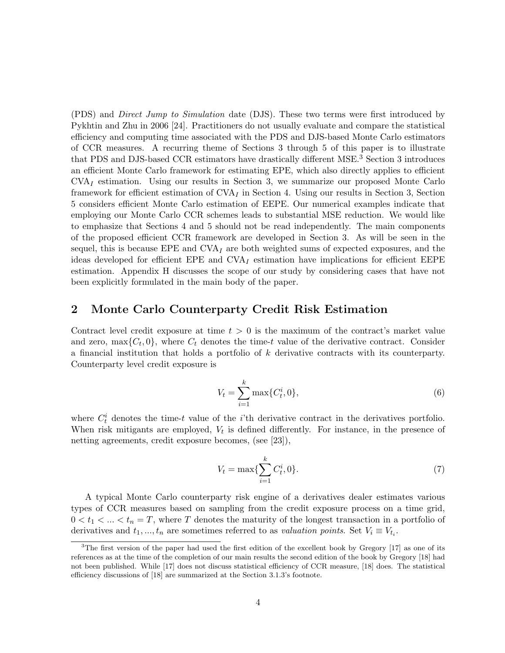(PDS) and Direct Jump to Simulation date (DJS). These two terms were first introduced by Pykhtin and Zhu in 2006 [24]. Practitioners do not usually evaluate and compare the statistical efficiency and computing time associated with the PDS and DJS-based Monte Carlo estimators of CCR measures. A recurring theme of Sections 3 through 5 of this paper is to illustrate that PDS and DJS-based CCR estimators have drastically different MSE.<sup>3</sup> Section 3 introduces an efficient Monte Carlo framework for estimating EPE, which also directly applies to efficient  $CVA<sub>I</sub>$  estimation. Using our results in Section 3, we summarize our proposed Monte Carlo framework for efficient estimation of  $CVA<sub>I</sub>$  in Section 4. Using our results in Section 3, Section 5 considers efficient Monte Carlo estimation of EEPE. Our numerical examples indicate that employing our Monte Carlo CCR schemes leads to substantial MSE reduction. We would like to emphasize that Sections 4 and 5 should not be read independently. The main components of the proposed efficient CCR framework are developed in Section 3. As will be seen in the sequel, this is because  $EPE$  and  $CVA<sub>I</sub>$  are both weighted sums of expected exposures, and the ideas developed for efficient EPE and  $CVA<sub>I</sub>$  estimation have implications for efficient EEPE estimation. Appendix H discusses the scope of our study by considering cases that have not been explicitly formulated in the main body of the paper.

### 2 Monte Carlo Counterparty Credit Risk Estimation

Contract level credit exposure at time  $t > 0$  is the maximum of the contract's market value and zero,  $\max\{C_t, 0\}$ , where  $C_t$  denotes the time-t value of the derivative contract. Consider a financial institution that holds a portfolio of k derivative contracts with its counterparty. Counterparty level credit exposure is

$$
V_t = \sum_{i=1}^k \max\{C_t^i, 0\},\tag{6}
$$

where  $C_t^i$  denotes the time-t value of the *i*'th derivative contract in the derivatives portfolio. When risk mitigants are employed,  $V_t$  is defined differently. For instance, in the presence of netting agreements, credit exposure becomes, (see [23]),

$$
V_t = \max\{\sum_{i=1}^k C_t^i, 0\}.
$$
 (7)

A typical Monte Carlo counterparty risk engine of a derivatives dealer estimates various types of CCR measures based on sampling from the credit exposure process on a time grid,  $0 < t_1 < ... < t_n = T$ , where T denotes the maturity of the longest transaction in a portfolio of derivatives and  $t_1, ..., t_n$  are sometimes referred to as valuation points. Set  $V_i \equiv V_{t_i}$ .

<sup>&</sup>lt;sup>3</sup>The first version of the paper had used the first edition of the excellent book by Gregory [17] as one of its references as at the time of the completion of our main results the second edition of the book by Gregory [18] had not been published. While [17] does not discuss statistical efficiency of CCR measure, [18] does. The statistical efficiency discussions of [18] are summarized at the Section 3.1.3's footnote.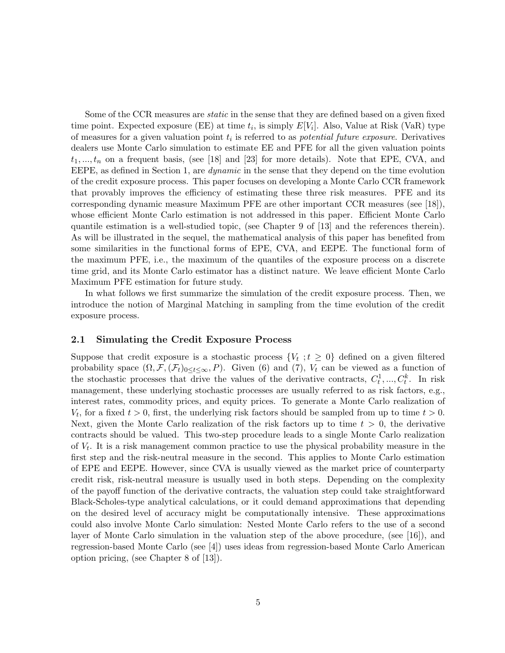Some of the CCR measures are *static* in the sense that they are defined based on a given fixed time point. Expected exposure (EE) at time  $t_i$ , is simply  $E[V_i]$ . Also, Value at Risk (VaR) type of measures for a given valuation point  $t_i$  is referred to as *potential future exposure*. Derivatives dealers use Monte Carlo simulation to estimate EE and PFE for all the given valuation points  $t_1, ..., t_n$  on a frequent basis, (see [18] and [23] for more details). Note that EPE, CVA, and EEPE, as defined in Section 1, are dynamic in the sense that they depend on the time evolution of the credit exposure process. This paper focuses on developing a Monte Carlo CCR framework that provably improves the efficiency of estimating these three risk measures. PFE and its corresponding dynamic measure Maximum PFE are other important CCR measures (see [18]), whose efficient Monte Carlo estimation is not addressed in this paper. Efficient Monte Carlo quantile estimation is a well-studied topic, (see Chapter 9 of [13] and the references therein). As will be illustrated in the sequel, the mathematical analysis of this paper has benefited from some similarities in the functional forms of EPE, CVA, and EEPE. The functional form of the maximum PFE, i.e., the maximum of the quantiles of the exposure process on a discrete time grid, and its Monte Carlo estimator has a distinct nature. We leave efficient Monte Carlo Maximum PFE estimation for future study.

In what follows we first summarize the simulation of the credit exposure process. Then, we introduce the notion of Marginal Matching in sampling from the time evolution of the credit exposure process.

#### 2.1 Simulating the Credit Exposure Process

Suppose that credit exposure is a stochastic process  $\{V_t : t \geq 0\}$  defined on a given filtered probability space  $(\Omega, \mathcal{F}, (\mathcal{F}_t)_{0 \leq t \leq \infty}, P)$ . Given (6) and (7),  $V_t$  can be viewed as a function of the stochastic processes that drive the values of the derivative contracts,  $C_t^1, ..., C_t^k$ . In risk management, these underlying stochastic processes are usually referred to as risk factors, e.g., interest rates, commodity prices, and equity prices. To generate a Monte Carlo realization of  $V_t$ , for a fixed  $t > 0$ , first, the underlying risk factors should be sampled from up to time  $t > 0$ . Next, given the Monte Carlo realization of the risk factors up to time  $t > 0$ , the derivative contracts should be valued. This two-step procedure leads to a single Monte Carlo realization of  $V_t$ . It is a risk management common practice to use the physical probability measure in the first step and the risk-neutral measure in the second. This applies to Monte Carlo estimation of EPE and EEPE. However, since CVA is usually viewed as the market price of counterparty credit risk, risk-neutral measure is usually used in both steps. Depending on the complexity of the payoff function of the derivative contracts, the valuation step could take straightforward Black-Scholes-type analytical calculations, or it could demand approximations that depending on the desired level of accuracy might be computationally intensive. These approximations could also involve Monte Carlo simulation: Nested Monte Carlo refers to the use of a second layer of Monte Carlo simulation in the valuation step of the above procedure, (see [16]), and regression-based Monte Carlo (see [4]) uses ideas from regression-based Monte Carlo American option pricing, (see Chapter 8 of [13]).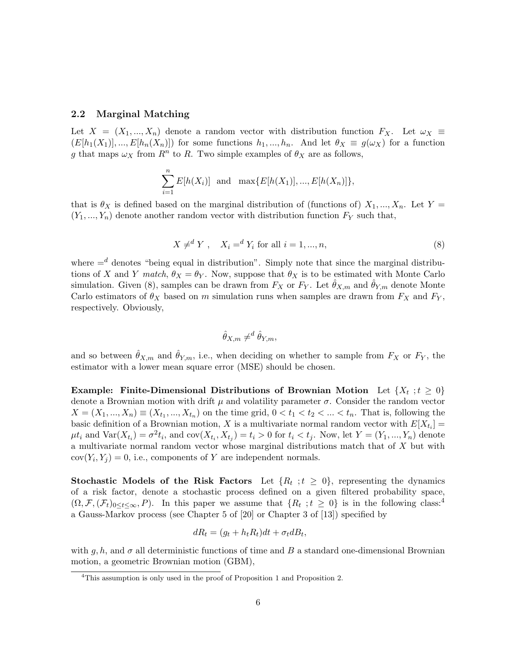#### 2.2 Marginal Matching

Let  $X = (X_1, ..., X_n)$  denote a random vector with distribution function  $F_X$ . Let  $\omega_X \equiv$  $(E[h_1(X_1)],...,E[h_n(X_n)])$  for some functions  $h_1,...,h_n$ . And let  $\theta_X \equiv g(\omega_X)$  for a function g that maps  $\omega_X$  from  $R^n$  to R. Two simple examples of  $\theta_X$  are as follows,

$$
\sum_{i=1}^{n} E[h(X_i)] \text{ and } \max\{E[h(X_1)], ..., E[h(X_n)]\},\
$$

that is  $\theta_X$  is defined based on the marginal distribution of (functions of)  $X_1, ..., X_n$ . Let Y =  $(Y_1, ..., Y_n)$  denote another random vector with distribution function  $F_Y$  such that,

$$
X \neq^{d} Y, \quad X_i =^{d} Y_i \text{ for all } i = 1, ..., n,
$$
\n(8)

where  $=$ <sup>d</sup> denotes "being equal in distribution". Simply note that since the marginal distributions of X and Y match,  $\theta_X = \theta_Y$ . Now, suppose that  $\theta_X$  is to be estimated with Monte Carlo simulation. Given (8), samples can be drawn from  $F_X$  or  $F_Y$ . Let  $\hat{\theta}_{X,m}$  and  $\hat{\theta}_{Y,m}$  denote Monte Carlo estimators of  $\theta_X$  based on m simulation runs when samples are drawn from  $F_X$  and  $F_Y$ , respectively. Obviously,

$$
\hat{\theta}_{X,m} \neq^d \hat{\theta}_{Y,m},
$$

and so between  $\hat{\theta}_{X,m}$  and  $\hat{\theta}_{Y,m}$ , i.e., when deciding on whether to sample from  $F_X$  or  $F_Y$ , the estimator with a lower mean square error (MSE) should be chosen.

Example: Finite-Dimensional Distributions of Brownian Motion Let  $\{X_t : t \geq 0\}$ denote a Brownian motion with drift  $\mu$  and volatility parameter  $\sigma$ . Consider the random vector  $X = (X_1, ..., X_n) \equiv (X_{t_1}, ..., X_{t_n})$  on the time grid,  $0 < t_1 < t_2 < ... < t_n$ . That is, following the basic definition of a Brownian motion, X is a multivariate normal random vector with  $E[X_{t_i}] =$  $\mu t_i$  and  $\text{Var}(X_{t_i}) = \sigma^2 t_i$ , and  $\text{cov}(X_{t_i}, X_{t_j}) = t_i > 0$  for  $t_i < t_j$ . Now, let  $Y = (Y_1, ..., Y_n)$  denote a multivariate normal random vector whose marginal distributions match that of X but with  $cov(Y_i, Y_j) = 0$ , i.e., components of Y are independent normals.

Stochastic Models of the Risk Factors Let  $\{R_t : t \geq 0\}$ , representing the dynamics of a risk factor, denote a stochastic process defined on a given filtered probability space,  $(\Omega, \mathcal{F}, (\mathcal{F}_t)_{0 \leq t \leq \infty}, P)$ . In this paper we assume that  $\{R_t : t \geq 0\}$  is in the following class:<sup>4</sup> a Gauss-Markov process (see Chapter 5 of [20] or Chapter 3 of [13]) specified by

$$
dR_t = (g_t + h_t R_t)dt + \sigma_t dB_t,
$$

with g, h, and  $\sigma$  all deterministic functions of time and B a standard one-dimensional Brownian motion, a geometric Brownian motion (GBM),

<sup>&</sup>lt;sup>4</sup>This assumption is only used in the proof of Proposition 1 and Proposition 2.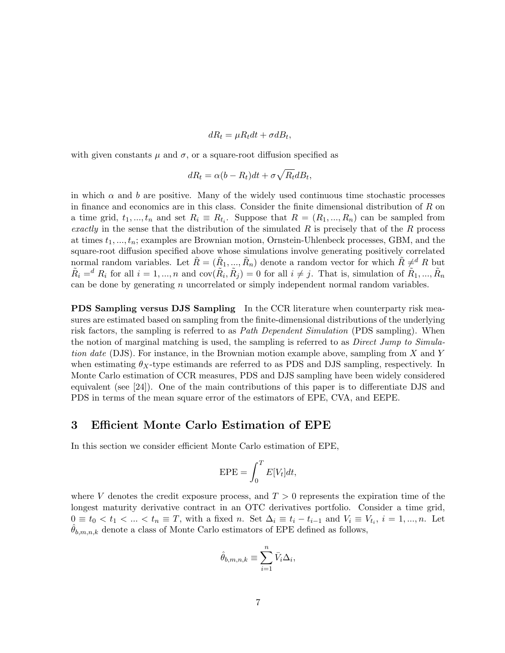$$
dR_t = \mu R_t dt + \sigma dB_t,
$$

with given constants  $\mu$  and  $\sigma$ , or a square-root diffusion specified as

$$
dR_t = \alpha (b - R_t)dt + \sigma \sqrt{R_t}dB_t,
$$

in which  $\alpha$  and b are positive. Many of the widely used continuous time stochastic processes in finance and economics are in this class. Consider the finite dimensional distribution of  $R$  on a time grid,  $t_1, ..., t_n$  and set  $R_i \equiv R_{t_i}$ . Suppose that  $R = (R_1, ..., R_n)$  can be sampled from exactly in the sense that the distribution of the simulated  $R$  is precisely that of the  $R$  process at times  $t_1, ..., t_n$ ; examples are Brownian motion, Ornstein-Uhlenbeck processes, GBM, and the square-root diffusion specified above whose simulations involve generating positively correlated normal random variables. Let  $\tilde{R} = (\tilde{R}_1, ..., \tilde{R}_n)$  denote a random vector for which  $\tilde{R} \neq^d R$  but  $\tilde{R}_i =^d R_i$  for all  $i = 1, ..., n$  and  $cov(\tilde{R}_i, \tilde{R}_j) = 0$  for all  $i \neq j$ . That is, simulation of  $\tilde{R}_1, ..., \tilde{R}_n$ can be done by generating  $n$  uncorrelated or simply independent normal random variables.

**PDS Sampling versus DJS Sampling** In the CCR literature when counterparty risk measures are estimated based on sampling from the finite-dimensional distributions of the underlying risk factors, the sampling is referred to as *Path Dependent Simulation* (PDS sampling). When the notion of marginal matching is used, the sampling is referred to as *Direct Jump to Simula*tion date (DJS). For instance, in the Brownian motion example above, sampling from X and Y when estimating  $\theta_X$ -type estimands are referred to as PDS and DJS sampling, respectively. In Monte Carlo estimation of CCR measures, PDS and DJS sampling have been widely considered equivalent (see [24]). One of the main contributions of this paper is to differentiate DJS and PDS in terms of the mean square error of the estimators of EPE, CVA, and EEPE.

### 3 Efficient Monte Carlo Estimation of EPE

In this section we consider efficient Monte Carlo estimation of EPE,

$$
EPE = \int_0^T E[V_t]dt,
$$

where V denotes the credit exposure process, and  $T > 0$  represents the expiration time of the longest maturity derivative contract in an OTC derivatives portfolio. Consider a time grid,  $0 \equiv t_0 < t_1 < \ldots < t_n \equiv T$ , with a fixed n. Set  $\Delta_i \equiv t_i - t_{i-1}$  and  $V_i \equiv V_{t_i}, i = 1, \ldots, n$ . Let  $\theta_{b,m,n,k}$  denote a class of Monte Carlo estimators of EPE defined as follows,

$$
\hat{\theta}_{b,m,n,k} \equiv \sum_{i=1}^{n} \bar{V}_i \Delta_i,
$$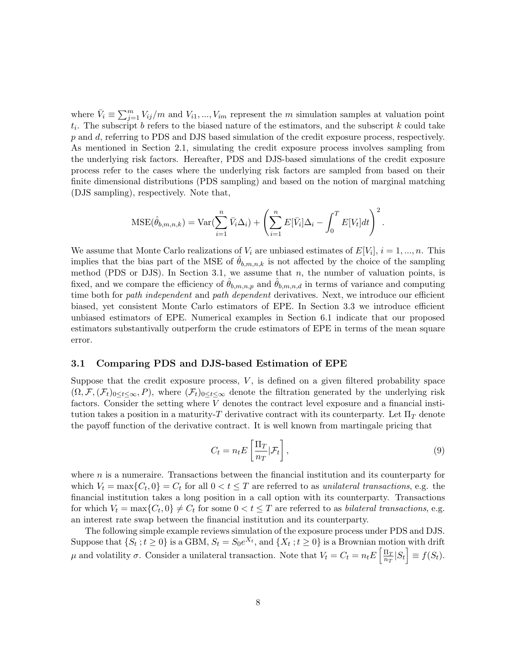where  $\bar{V}_i \equiv \sum_{j=1}^m V_{ij}/m$  and  $V_{i1}, ..., V_{im}$  represent the m simulation samples at valuation point  $t_i$ . The subscript b refers to the biased nature of the estimators, and the subscript k could take p and d, referring to PDS and DJS based simulation of the credit exposure process, respectively. As mentioned in Section 2.1, simulating the credit exposure process involves sampling from the underlying risk factors. Hereafter, PDS and DJS-based simulations of the credit exposure process refer to the cases where the underlying risk factors are sampled from based on their finite dimensional distributions (PDS sampling) and based on the notion of marginal matching (DJS sampling), respectively. Note that,

$$
\text{MSE}(\hat{\theta}_{b,m,n,k}) = \text{Var}(\sum_{i=1}^n \bar{V}_i \Delta_i) + \left(\sum_{i=1}^n E[\bar{V}_i] \Delta_i - \int_0^T E[V_t] dt\right)^2.
$$

We assume that Monte Carlo realizations of  $V_i$  are unbiased estimates of  $E[V_i], i = 1, ..., n$ . This implies that the bias part of the MSE of  $\theta_{b,m,n,k}$  is not affected by the choice of the sampling method (PDS or DJS). In Section 3.1, we assume that  $n$ , the number of valuation points, is fixed, and we compare the efficiency of  $\theta_{b,m,n,p}$  and  $\theta_{b,m,n,d}$  in terms of variance and computing time both for path independent and path dependent derivatives. Next, we introduce our efficient biased, yet consistent Monte Carlo estimators of EPE. In Section 3.3 we introduce efficient unbiased estimators of EPE. Numerical examples in Section 6.1 indicate that our proposed estimators substantivally outperform the crude estimators of EPE in terms of the mean square error.

#### 3.1 Comparing PDS and DJS-based Estimation of EPE

Suppose that the credit exposure process,  $V$ , is defined on a given filtered probability space  $(\Omega, \mathcal{F}, (\mathcal{F}_t)_{0 \leq t \leq \infty}, P)$ , where  $(\mathcal{F}_t)_{0 \leq t \leq \infty}$  denote the filtration generated by the underlying risk factors. Consider the setting where V denotes the contract level exposure and a financial institution takes a position in a maturity-T derivative contract with its counterparty. Let  $\Pi_T$  denote the payoff function of the derivative contract. It is well known from martingale pricing that

$$
C_t = n_t E\left[\frac{\Pi_T}{n_T}|\mathcal{F}_t\right],\tag{9}
$$

where  $n$  is a numeraire. Transactions between the financial institution and its counterparty for which  $V_t = \max\{C_t, 0\} = C_t$  for all  $0 < t \leq T$  are referred to as unilateral transactions, e.g. the financial institution takes a long position in a call option with its counterparty. Transactions for which  $V_t = \max\{C_t, 0\} \neq C_t$  for some  $0 < t \leq T$  are referred to as *bilateral transactions*, e.g. an interest rate swap between the financial institution and its counterparty.

The following simple example reviews simulation of the exposure process under PDS and DJS. Suppose that  $\{S_t : t \geq 0\}$  is a GBM,  $S_t = S_0 e^{X_t}$ , and  $\{X_t : t \geq 0\}$  is a Brownian motion with drift μ and volatility σ. Consider a unilateral transaction. Note that  $V_t = C_t = n_t E \left[ \frac{\Pi_T}{n_T} \right]$  $\frac{\Pi_T}{n_T} |S_t| \equiv f(S_t).$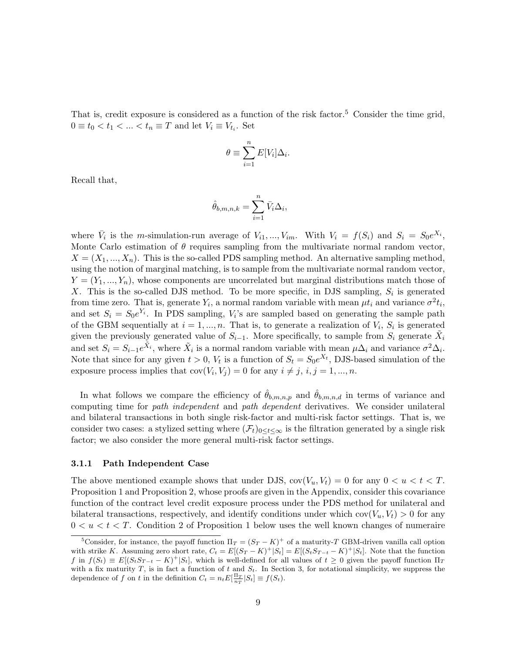That is, credit exposure is considered as a function of the risk factor.<sup>5</sup> Consider the time grid,  $0 \equiv t_0 < t_1 < \ldots < t_n \equiv T$  and let  $V_i \equiv V_{t_i}$ . Set

$$
\theta \equiv \sum_{i=1}^{n} E[V_i] \Delta_i.
$$

Recall that,

$$
\hat{\theta}_{b,m,n,k} = \sum_{i=1}^n \bar{V}_i \Delta_i,
$$

where  $\bar{V}_i$  is the *m*-simulation-run average of  $V_{i1},...,V_{im}$ . With  $V_i = f(S_i)$  and  $S_i = S_0e^{X_i}$ , Monte Carlo estimation of  $\theta$  requires sampling from the multivariate normal random vector,  $X = (X_1, ..., X_n)$ . This is the so-called PDS sampling method. An alternative sampling method, using the notion of marginal matching, is to sample from the multivariate normal random vector,  $Y = (Y_1, \ldots, Y_n)$ , whose components are uncorrelated but marginal distributions match those of X. This is the so-called DJS method. To be more specific, in DJS sampling,  $S_i$  is generated from time zero. That is, generate  $Y_i$ , a normal random variable with mean  $\mu t_i$  and variance  $\sigma^2 t_i$ , and set  $S_i = S_0 e^{Y_i}$ . In PDS sampling,  $V_i$ 's are sampled based on generating the sample path of the GBM sequentially at  $i = 1, ..., n$ . That is, to generate a realization of  $V_i$ ,  $S_i$  is generated given the previously generated value of  $S_{i-1}$ . More specifically, to sample from  $S_i$  generate  $\tilde{X}_i$ and set  $S_i = S_{i-1}e^{\tilde{X}_i}$ , where  $\tilde{X}_i$  is a normal random variable with mean  $\mu\Delta_i$  and variance  $\sigma^2\Delta_i$ . Note that since for any given  $t > 0$ ,  $V_t$  is a function of  $S_t = S_0 e^{X_t}$ , DJS-based simulation of the exposure process implies that  $cov(V_i, V_j) = 0$  for any  $i \neq j, i, j = 1, ..., n$ .

In what follows we compare the efficiency of  $\hat{\theta}_{b,m,n,p}$  and  $\hat{\theta}_{b,m,n,d}$  in terms of variance and computing time for path independent and path dependent derivatives. We consider unilateral and bilateral transactions in both single risk-factor and multi-risk factor settings. That is, we consider two cases: a stylized setting where  $(\mathcal{F}_t)_{0\leq t\leq\infty}$  is the filtration generated by a single risk factor; we also consider the more general multi-risk factor settings.

#### 3.1.1 Path Independent Case

The above mentioned example shows that under DJS,  $cov(V_u, V_t) = 0$  for any  $0 < u < t < T$ . Proposition 1 and Proposition 2, whose proofs are given in the Appendix, consider this covariance function of the contract level credit exposure process under the PDS method for unilateral and bilateral transactions, respectively, and identify conditions under which  $cov(V_u, V_t) > 0$  for any  $0 < u < t < T$ . Condition 2 of Proposition 1 below uses the well known changes of numeraire

<sup>&</sup>lt;sup>5</sup>Consider, for instance, the payoff function  $\Pi_T = (S_T - K)^+$  of a maturity-T GBM-driven vanilla call option with strike K. Assuming zero short rate,  $C_t = E[(S_T - K)^+ | S_t] = E[(S_t S_{T-t} - K)^+ | S_t]$ . Note that the function f in  $f(S_t) \equiv E[(S_t S_{T-t} - K)^+]S_t$ , which is well-defined for all values of  $t \geq 0$  given the payoff function  $\Pi_T$ with a fix maturity T, is in fact a function of t and  $S_t$ . In Section 3, for notational simplicity, we suppress the dependence of f on t in the definition  $C_t = n_t E\left[\frac{\Pi_T}{n_T} | S_t\right] \equiv f(S_t)$ .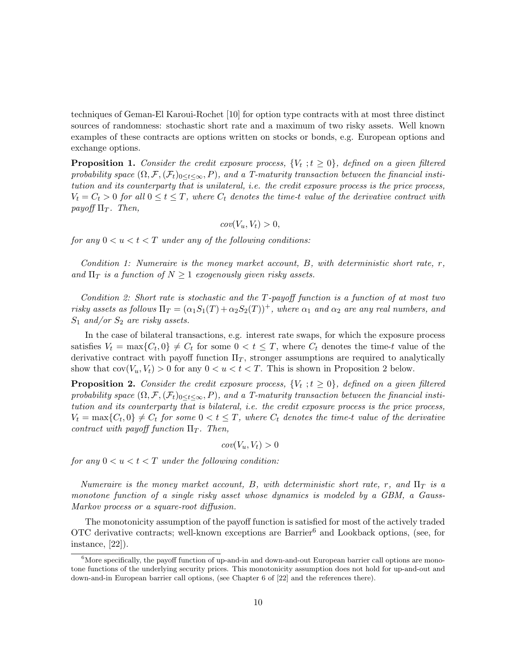techniques of Geman-El Karoui-Rochet [10] for option type contracts with at most three distinct sources of randomness: stochastic short rate and a maximum of two risky assets. Well known examples of these contracts are options written on stocks or bonds, e.g. European options and exchange options.

**Proposition 1.** Consider the credit exposure process,  $\{V_t : t \geq 0\}$ , defined on a given filtered probability space  $(\Omega, \mathcal{F}, (\mathcal{F}_t)_{0 \leq t \leq \infty}, P)$ , and a T-maturity transaction between the financial institution and its counterparty that is unilateral, i.e. the credit exposure process is the price process,  $V_t = C_t > 0$  for all  $0 \le t \le T$ , where  $C_t$  denotes the time-t value of the derivative contract with payoff  $\Pi_T$ . Then,

$$
cov(V_u, V_t) > 0,
$$

for any  $0 < u < t < T$  under any of the following conditions:

Condition 1: Numeraire is the money market account,  $B$ , with deterministic short rate,  $r$ , and  $\Pi_T$  is a function of  $N \geq 1$  exogenously given risky assets.

Condition 2: Short rate is stochastic and the T-payoff function is a function of at most two risky assets as follows  $\Pi_T = (\alpha_1 S_1(T) + \alpha_2 S_2(T))^+$ , where  $\alpha_1$  and  $\alpha_2$  are any real numbers, and  $S_1$  and/or  $S_2$  are risky assets.

In the case of bilateral transactions, e.g. interest rate swaps, for which the exposure process satisfies  $V_t = \max\{C_t, 0\} \neq C_t$  for some  $0 < t \leq T$ , where  $C_t$  denotes the time-t value of the derivative contract with payoff function  $\Pi_T$ , stronger assumptions are required to analytically show that  $cov(V_u, V_t) > 0$  for any  $0 < u < t < T$ . This is shown in Proposition 2 below.

**Proposition 2.** Consider the credit exposure process,  $\{V_t : t \ge 0\}$ , defined on a given filtered probability space  $(\Omega, \mathcal{F}, (\mathcal{F}_t)_{0 \leq t \leq \infty}, P)$ , and a T-maturity transaction between the financial institution and its counterparty that is bilateral, i.e. the credit exposure process is the price process,  $V_t = \max\{C_t, 0\} \neq C_t$  for some  $0 < t \leq T$ , where  $C_t$  denotes the time-t value of the derivative contract with payoff function  $\Pi_T$ . Then,

$$
cov(V_u, V_t) > 0
$$

for any  $0 < u < t < T$  under the following condition:

Numeraire is the money market account, B, with deterministic short rate, r, and  $\Pi_T$  is a monotone function of a single risky asset whose dynamics is modeled by a GBM, a Gauss-Markov process or a square-root diffusion.

The monotonicity assumption of the payoff function is satisfied for most of the actively traded OTC derivative contracts; well-known exceptions are Barrier<sup>6</sup> and Lookback options, (see, for instance, [22]).

<sup>&</sup>lt;sup>6</sup>More specifically, the payoff function of up-and-in and down-and-out European barrier call options are monotone functions of the underlying security prices. This monotonicity assumption does not hold for up-and-out and down-and-in European barrier call options, (see Chapter 6 of [22] and the references there).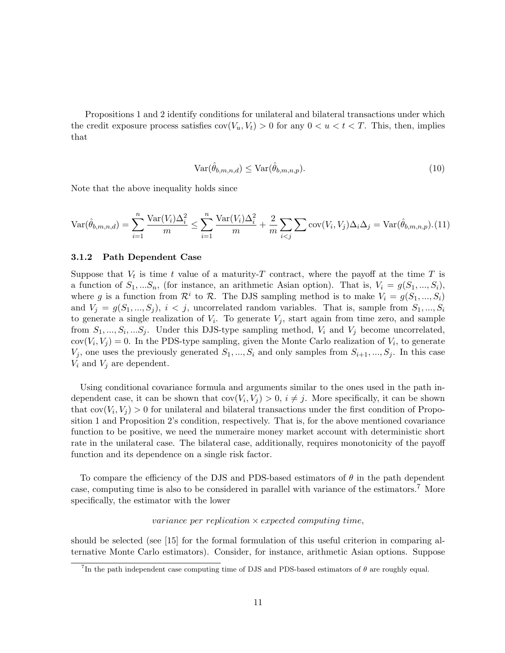Propositions 1 and 2 identify conditions for unilateral and bilateral transactions under which the credit exposure process satisfies  $cov(V_u, V_t) > 0$  for any  $0 < u < t < T$ . This, then, implies that

$$
Var(\hat{\theta}_{b,m,n,d}) \le Var(\hat{\theta}_{b,m,n,p}).
$$
\n(10)

Note that the above inequality holds since

$$
\text{Var}(\hat{\theta}_{b,m,n,d}) = \sum_{i=1}^{n} \frac{\text{Var}(V_i)\Delta_i^2}{m} \le \sum_{i=1}^{n} \frac{\text{Var}(V_i)\Delta_i^2}{m} + \frac{2}{m} \sum_{i < j} \sum \text{cov}(V_i, V_j)\Delta_i\Delta_j = \text{Var}(\hat{\theta}_{b,m,n,p}). (11)
$$

#### 3.1.2 Path Dependent Case

Suppose that  $V_t$  is time t value of a maturity-T contract, where the payoff at the time T is a function of  $S_1, \ldots, S_n$ , (for instance, an arithmetic Asian option). That is,  $V_i = g(S_1, \ldots, S_i)$ , where g is a function from  $\mathcal{R}^i$  to  $\mathcal{R}$ . The DJS sampling method is to make  $V_i = g(S_1, ..., S_i)$ and  $V_i = g(S_1, ..., S_i)$ ,  $i < j$ , uncorrelated random variables. That is, sample from  $S_1, ..., S_i$ to generate a single realization of  $V_i$ . To generate  $V_j$ , start again from time zero, and sample from  $S_1, ..., S_i, ...S_j$ . Under this DJS-type sampling method,  $V_i$  and  $V_j$  become uncorrelated,  $cov(V_i, V_j) = 0$ . In the PDS-type sampling, given the Monte Carlo realization of  $V_i$ , to generate  $V_j$ , one uses the previously generated  $S_1, ..., S_i$  and only samples from  $S_{i+1}, ..., S_j$ . In this case  $V_i$  and  $V_j$  are dependent.

Using conditional covariance formula and arguments similar to the ones used in the path independent case, it can be shown that  $cov(V_i, V_j) > 0$ ,  $i \neq j$ . More specifically, it can be shown that  $cov(V_i, V_j) > 0$  for unilateral and bilateral transactions under the first condition of Proposition 1 and Proposition 2's condition, respectively. That is, for the above mentioned covariance function to be positive, we need the numeraire money market account with deterministic short rate in the unilateral case. The bilateral case, additionally, requires monotonicity of the payoff function and its dependence on a single risk factor.

To compare the efficiency of the DJS and PDS-based estimators of  $\theta$  in the path dependent case, computing time is also to be considered in parallel with variance of the estimators.<sup>7</sup> More specifically, the estimator with the lower

#### variance per replication  $\times$  expected computing time,

should be selected (see [15] for the formal formulation of this useful criterion in comparing alternative Monte Carlo estimators). Consider, for instance, arithmetic Asian options. Suppose

<sup>&</sup>lt;sup>7</sup>In the path independent case computing time of DJS and PDS-based estimators of  $\theta$  are roughly equal.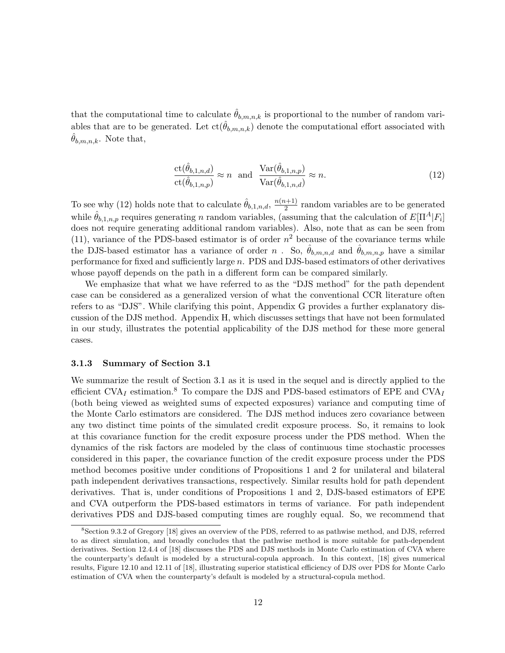that the computational time to calculate  $\hat{\theta}_{b,m,n,k}$  is proportional to the number of random variables that are to be generated. Let  $ct(\hat{\theta}_{b,m,n,k})$  denote the computational effort associated with  $\theta_{b,m,n,k}$ . Note that,

$$
\frac{\text{ct}(\hat{\theta}_{b,1,n,d})}{\text{ct}(\hat{\theta}_{b,1,n,p})} \approx n \quad \text{and} \quad \frac{\text{Var}(\hat{\theta}_{b,1,n,p})}{\text{Var}(\hat{\theta}_{b,1,n,d})} \approx n. \tag{12}
$$

To see why (12) holds note that to calculate  $\hat{\theta}_{b,1,n,d}$ ,  $\frac{n(n+1)}{2}$  $\frac{1}{2}$  random variables are to be generated while  $\hat{\theta}_{b,1,n,p}$  requires generating n random variables, (assuming that the calculation of  $E[\Pi^A|F_i]$ ) does not require generating additional random variables). Also, note that as can be seen from (11), variance of the PDS-based estimator is of order  $n^2$  because of the covariance terms while the DJS-based estimator has a variance of order n. So,  $\hat{\theta}_{b,m,n,d}$  and  $\hat{\theta}_{b,m,n,p}$  have a similar performance for fixed and sufficiently large n. PDS and DJS-based estimators of other derivatives whose payoff depends on the path in a different form can be compared similarly.

We emphasize that what we have referred to as the "DJS method" for the path dependent case can be considered as a generalized version of what the conventional CCR literature often refers to as "DJS". While clarifying this point, Appendix G provides a further explanatory discussion of the DJS method. Appendix H, which discusses settings that have not been formulated in our study, illustrates the potential applicability of the DJS method for these more general cases.

#### 3.1.3 Summary of Section 3.1

We summarize the result of Section 3.1 as it is used in the sequel and is directly applied to the efficient CVA<sub>I</sub> estimation.<sup>8</sup> To compare the DJS and PDS-based estimators of EPE and CVA<sub>I</sub> (both being viewed as weighted sums of expected exposures) variance and computing time of the Monte Carlo estimators are considered. The DJS method induces zero covariance between any two distinct time points of the simulated credit exposure process. So, it remains to look at this covariance function for the credit exposure process under the PDS method. When the dynamics of the risk factors are modeled by the class of continuous time stochastic processes considered in this paper, the covariance function of the credit exposure process under the PDS method becomes positive under conditions of Propositions 1 and 2 for unilateral and bilateral path independent derivatives transactions, respectively. Similar results hold for path dependent derivatives. That is, under conditions of Propositions 1 and 2, DJS-based estimators of EPE and CVA outperform the PDS-based estimators in terms of variance. For path independent derivatives PDS and DJS-based computing times are roughly equal. So, we recommend that

<sup>&</sup>lt;sup>8</sup>Section 9.3.2 of Gregory [18] gives an overview of the PDS, referred to as pathwise method, and DJS, referred to as direct simulation, and broadly concludes that the pathwise method is more suitable for path-dependent derivatives. Section 12.4.4 of [18] discusses the PDS and DJS methods in Monte Carlo estimation of CVA where the counterparty's default is modeled by a structural-copula approach. In this context, [18] gives numerical results, Figure 12.10 and 12.11 of [18], illustrating superior statistical efficiency of DJS over PDS for Monte Carlo estimation of CVA when the counterparty's default is modeled by a structural-copula method.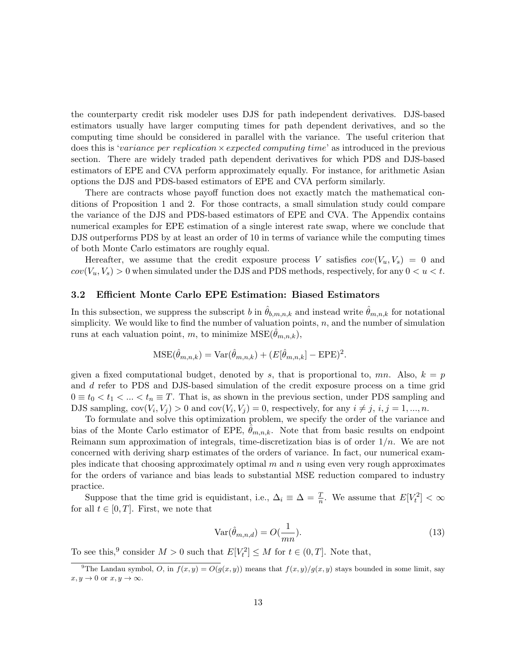the counterparty credit risk modeler uses DJS for path independent derivatives. DJS-based estimators usually have larger computing times for path dependent derivatives, and so the computing time should be considered in parallel with the variance. The useful criterion that does this is 'variance per replication  $\times$  expected computing time' as introduced in the previous section. There are widely traded path dependent derivatives for which PDS and DJS-based estimators of EPE and CVA perform approximately equally. For instance, for arithmetic Asian options the DJS and PDS-based estimators of EPE and CVA perform similarly.

There are contracts whose payoff function does not exactly match the mathematical conditions of Proposition 1 and 2. For those contracts, a small simulation study could compare the variance of the DJS and PDS-based estimators of EPE and CVA. The Appendix contains numerical examples for EPE estimation of a single interest rate swap, where we conclude that DJS outperforms PDS by at least an order of 10 in terms of variance while the computing times of both Monte Carlo estimators are roughly equal.

Hereafter, we assume that the credit exposure process V satisfies  $cov(V_u, V_s) = 0$  and  $cov(V_u, V_s) > 0$  when simulated under the DJS and PDS methods, respectively, for any  $0 < u < t$ .

#### 3.2 Efficient Monte Carlo EPE Estimation: Biased Estimators

In this subsection, we suppress the subscript b in  $\hat{\theta}_{b,m,n,k}$  and instead write  $\hat{\theta}_{m,n,k}$  for notational simplicity. We would like to find the number of valuation points,  $n$ , and the number of simulation runs at each valuation point, m, to minimize  $MSE(\theta_{m,n,k}),$ 

$$
\text{MSE}(\hat{\theta}_{m,n,k}) = \text{Var}(\hat{\theta}_{m,n,k}) + (E[\hat{\theta}_{m,n,k}] - \text{EPE})^2.
$$

given a fixed computational budget, denoted by s, that is proportional to, mn. Also,  $k = p$ and d refer to PDS and DJS-based simulation of the credit exposure process on a time grid  $0 \equiv t_0 < t_1 < ... < t_n \equiv T$ . That is, as shown in the previous section, under PDS sampling and DJS sampling,  $cov(V_i, V_j) > 0$  and  $cov(V_i, V_j) = 0$ , respectively, for any  $i \neq j$ ,  $i, j = 1, ..., n$ .

To formulate and solve this optimization problem, we specify the order of the variance and bias of the Monte Carlo estimator of EPE,  $\theta_{m,n,k}$ . Note that from basic results on endpoint Reimann sum approximation of integrals, time-discretization bias is of order  $1/n$ . We are not concerned with deriving sharp estimates of the orders of variance. In fact, our numerical examples indicate that choosing approximately optimal  $m$  and  $n$  using even very rough approximates for the orders of variance and bias leads to substantial MSE reduction compared to industry practice.

Suppose that the time grid is equidistant, i.e.,  $\Delta_i \equiv \Delta = \frac{T}{n}$ . We assume that  $E[V_t^2] < \infty$ for all  $t \in [0, T]$ . First, we note that

$$
Var(\hat{\theta}_{m,n,d}) = O(\frac{1}{mn}).
$$
\n(13)

To see this,<sup>9</sup> consider  $M > 0$  such that  $E[V_t^2] \leq M$  for  $t \in (0, T]$ . Note that,

<sup>&</sup>lt;sup>9</sup>The Landau symbol, O, in  $f(x,y) = O(g(x, y))$  means that  $f(x, y)/g(x, y)$  stays bounded in some limit, say  $x, y \to 0$  or  $x, y \to \infty$ .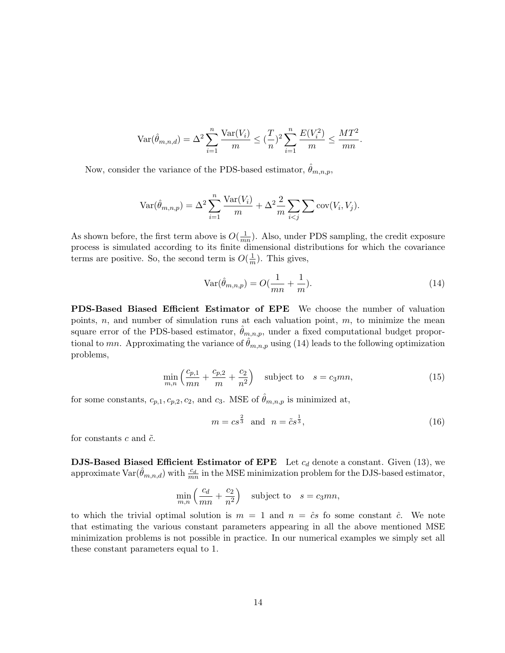$$
\text{Var}(\hat{\theta}_{m,n,d}) = \Delta^2 \sum_{i=1}^n \frac{\text{Var}(V_i)}{m} \le (\frac{T}{n})^2 \sum_{i=1}^n \frac{E(V_i^2)}{m} \le \frac{MT^2}{mn}.
$$

Now, consider the variance of the PDS-based estimator,  $\theta_{m,n,p}$ ,

$$
\text{Var}(\hat{\theta}_{m,n,p}) = \Delta^2 \sum_{i=1}^n \frac{\text{Var}(V_i)}{m} + \Delta^2 \frac{2}{m} \sum_{i < j} \sum \text{cov}(V_i, V_j).
$$

As shown before, the first term above is  $O(\frac{1}{m})$  $\frac{1}{mn}$ ). Also, under PDS sampling, the credit exposure process is simulated according to its finite dimensional distributions for which the covariance terms are positive. So, the second term is  $O(\frac{1}{n})$  $\frac{1}{m}$ ). This gives,

$$
\text{Var}(\hat{\theta}_{m,n,p}) = O(\frac{1}{mn} + \frac{1}{m}).\tag{14}
$$

PDS-Based Biased Efficient Estimator of EPE We choose the number of valuation points,  $n$ , and number of simulation runs at each valuation point,  $m$ , to minimize the mean square error of the PDS-based estimator,  $\hat{\theta}_{m,n,p}$ , under a fixed computational budget proportional to mn. Approximating the variance of  $\hat{\theta}_{m,n,p}$  using (14) leads to the following optimization problems,

$$
\min_{m,n} \left( \frac{c_{p,1}}{mn} + \frac{c_{p,2}}{m} + \frac{c_2}{n^2} \right) \quad \text{subject to} \quad s = c_3 mn,
$$
\n
$$
(15)
$$

for some constants,  $c_{p,1}, c_{p,2}, c_2$ , and  $c_3$ . MSE of  $\hat{\theta}_{m,n,p}$  is minimized at,

$$
m = cs^{\frac{2}{3}} \quad \text{and} \quad n = \tilde{c}s^{\frac{1}{3}},\tag{16}
$$

for constants c and  $\tilde{c}$ .

**DJS-Based Biased Efficient Estimator of EPE** Let  $c_d$  denote a constant. Given (13), we approximate  $\text{Var}(\hat{\theta}_{m,n,d})$  with  $\frac{c_d}{mn}$  in the MSE minimization problem for the DJS-based estimator,

$$
\min_{m,n} \left( \frac{c_d}{mn} + \frac{c_2}{n^2} \right) \quad \text{subject to} \quad s = c_3 mn,
$$

to which the trivial optimal solution is  $m = 1$  and  $n = \hat{c}s$  fo some constant  $\hat{c}$ . We note that estimating the various constant parameters appearing in all the above mentioned MSE minimization problems is not possible in practice. In our numerical examples we simply set all these constant parameters equal to 1.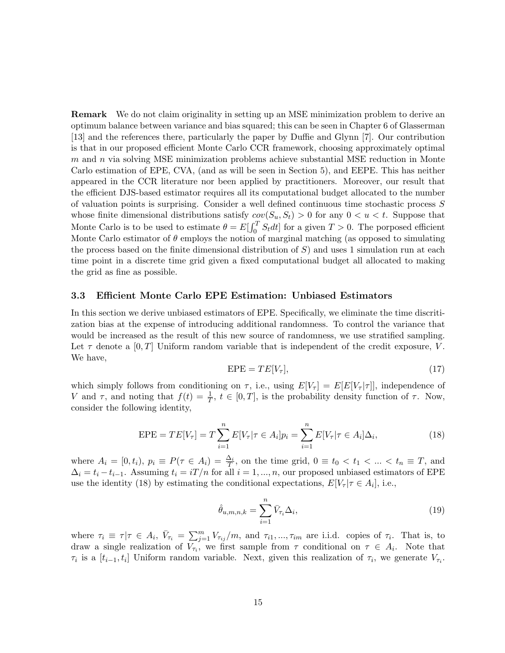Remark We do not claim originality in setting up an MSE minimization problem to derive an optimum balance between variance and bias squared; this can be seen in Chapter 6 of Glasserman [13] and the references there, particularly the paper by Duffie and Glynn [7]. Our contribution is that in our proposed efficient Monte Carlo CCR framework, choosing approximately optimal  $m$  and  $n$  via solving MSE minimization problems achieve substantial MSE reduction in Monte Carlo estimation of EPE, CVA, (and as will be seen in Section 5), and EEPE. This has neither appeared in the CCR literature nor been applied by practitioners. Moreover, our result that the efficient DJS-based estimator requires all its computational budget allocated to the number of valuation points is surprising. Consider a well defined continuous time stochastic process S whose finite dimensional distributions satisfy  $cov(S_u, S_t) > 0$  for any  $0 < u < t$ . Suppose that Monte Carlo is to be used to estimate  $\theta = E[\int_0^T S_t dt]$  for a given  $T > 0$ . The porposed efficient Monte Carlo estimator of  $\theta$  employs the notion of marginal matching (as opposed to simulating the process based on the finite dimensional distribution of  $S$ ) and uses 1 simulation run at each time point in a discrete time grid given a fixed computational budget all allocated to making the grid as fine as possible.

#### 3.3 Efficient Monte Carlo EPE Estimation: Unbiased Estimators

In this section we derive unbiased estimators of EPE. Specifically, we eliminate the time discritization bias at the expense of introducing additional randomness. To control the variance that would be increased as the result of this new source of randomness, we use stratified sampling. Let  $\tau$  denote a [0, T] Uniform random variable that is independent of the credit exposure, V. We have,

$$
EPE = TE[V\tau],\tag{17}
$$

which simply follows from conditioning on  $\tau$ , i.e., using  $E[V_{\tau}] = E[E[V_{\tau}|\tau]]$ , independence of V and  $\tau$ , and noting that  $f(t) = \frac{1}{T}$ ,  $t \in [0, T]$ , is the probability density function of  $\tau$ . Now, consider the following identity,

EPE = 
$$
TE[V_{\tau}] = T \sum_{i=1}^{n} E[V_{\tau} | \tau \in A_i] p_i = \sum_{i=1}^{n} E[V_{\tau} | \tau \in A_i] \Delta_i,
$$
 (18)

where  $A_i = [0, t_i)$ ,  $p_i \equiv P(\tau \in A_i) = \frac{\Delta_i}{T}$ , on the time grid,  $0 \equiv t_0 < t_1 < ... < t_n \equiv T$ , and  $\Delta_i = t_i - t_{i-1}$ . Assuming  $t_i = iT/n$  for all  $i = 1, ..., n$ , our proposed unbiased estimators of EPE use the identity (18) by estimating the conditional expectations,  $E[V_{\tau} | \tau \in A_i]$ , i.e.,

$$
\hat{\theta}_{u,m,n,k} = \sum_{i=1}^{n} \bar{V}_{\tau_i} \Delta_i,\tag{19}
$$

where  $\tau_i \equiv \tau | \tau \in A_i$ ,  $\bar{V}_{\tau_i} = \sum_{j=1}^m V_{\tau_{ij}}/m$ , and  $\tau_{i1}, ..., \tau_{im}$  are i.i.d. copies of  $\tau_i$ . That is, to draw a single realization of  $V_{\tau_i}$ , we first sample from  $\tau$  conditional on  $\tau \in A_i$ . Note that  $\tau_i$  is a  $[t_{i-1}, t_i]$  Uniform random variable. Next, given this realization of  $\tau_i$ , we generate  $V_{\tau_i}$ .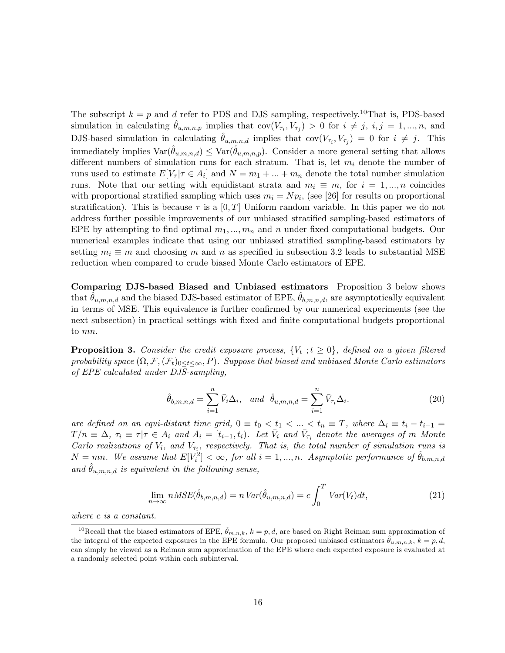The subscript  $k = p$  and d refer to PDS and DJS sampling, respectively.<sup>10</sup>That is, PDS-based simulation in calculating  $\hat{\theta}_{u,m,n,p}$  implies that  $cov(V_{\tau_i}, V_{\tau_j}) > 0$  for  $i \neq j, i, j = 1, ..., n$ , and DJS-based simulation in calculating  $\hat{\theta}_{u,m,n,d}$  implies that  $cov(V_{\tau_i}, V_{\tau_j}) = 0$  for  $i \neq j$ . This immediately implies  $\text{Var}(\hat{\theta}_{u,m,n,d}) \leq \text{Var}(\hat{\theta}_{u,m,n,p})$ . Consider a more general setting that allows different numbers of simulation runs for each stratum. That is, let  $m_i$  denote the number of runs used to estimate  $E[V_\tau | \tau \in A_i]$  and  $N = m_1 + ... + m_n$  denote the total number simulation runs. Note that our setting with equidistant strata and  $m_i \equiv m$ , for  $i = 1, ..., n$  coincides with proportional stratified sampling which uses  $m_i = N p_i$ , (see [26] for results on proportional stratification). This is because  $\tau$  is a [0, T] Uniform random variable. In this paper we do not address further possible improvements of our unbiased stratified sampling-based estimators of EPE by attempting to find optimal  $m_1, ..., m_n$  and n under fixed computational budgets. Our numerical examples indicate that using our unbiased stratified sampling-based estimators by setting  $m_i \equiv m$  and choosing m and n as specified in subsection 3.2 leads to substantial MSE reduction when compared to crude biased Monte Carlo estimators of EPE.

Comparing DJS-based Biased and Unbiased estimators Proposition 3 below shows that  $\theta_{u,m,n,d}$  and the biased DJS-based estimator of EPE,  $\theta_{b,m,n,d}$ , are asymptotically equivalent in terms of MSE. This equivalence is further confirmed by our numerical experiments (see the next subsection) in practical settings with fixed and finite computational budgets proportional to mn.

**Proposition 3.** Consider the credit exposure process,  $\{V_t : t \ge 0\}$ , defined on a given filtered probability space  $(\Omega, \mathcal{F}, (\mathcal{F}_t)_{0\leq t\leq \infty}, P)$ . Suppose that biased and unbiased Monte Carlo estimators of EPE calculated under DJS-sampling,

$$
\hat{\theta}_{b,m,n,d} = \sum_{i=1}^{n} \bar{V}_i \Delta_i, \quad and \quad \hat{\theta}_{u,m,n,d} = \sum_{i=1}^{n} \bar{V}_{\tau_i} \Delta_i.
$$
\n(20)

are defined on an equi-distant time grid,  $0 \equiv t_0 < t_1 < ... < t_n \equiv T$ , where  $\Delta_i \equiv t_i - t_{i-1} =$  $T/n \equiv \Delta$ ,  $\tau_i \equiv \tau | \tau \in A_i$  and  $A_i = [t_{i-1}, t_i)$ . Let  $\bar{V}_i$  and  $\bar{V}_{\tau_i}$  denote the averages of m Monte Carlo realizations of  $V_i$ , and  $V_{\tau_i}$ , respectively. That is, the total number of simulation runs is  $N = mn$ . We assume that  $E[V_i^2] < \infty$ , for all  $i = 1, ..., n$ . Asymptotic performance of  $\hat{\theta}_{b,m,n,d}$ and  $\hat{\theta}_{u,m,n,d}$  is equivalent in the following sense,

$$
\lim_{n \to \infty} nMSE(\hat{\theta}_{b,m,n,d}) = n \operatorname{Var}(\hat{\theta}_{u,m,n,d}) = c \int_0^T \operatorname{Var}(V_t) dt,\tag{21}
$$

where c is a constant.

<sup>&</sup>lt;sup>10</sup>Recall that the biased estimators of EPE,  $\hat{\theta}_{m,n,k}$ ,  $k = p, d$ , are based on Right Reiman sum approximation of the integral of the expected exposures in the EPE formula. Our proposed unbiased estimators  $\hat{\theta}_{u,m,n,k}$ ,  $k = p, d$ , can simply be viewed as a Reiman sum approximation of the EPE where each expected exposure is evaluated at a randomly selected point within each subinterval.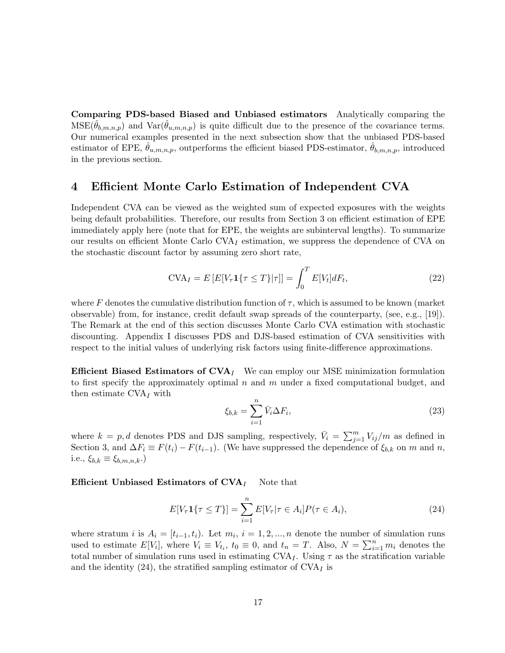Comparing PDS-based Biased and Unbiased estimators Analytically comparing the  $MSE(\theta_{b,m,n,p})$  and  $Var(\theta_{u,m,n,p})$  is quite difficult due to the presence of the covariance terms. Our numerical examples presented in the next subsection show that the unbiased PDS-based estimator of EPE,  $\hat{\theta}_{u,m,n,p}$ , outperforms the efficient biased PDS-estimator,  $\hat{\theta}_{b,m,n,p}$ , introduced in the previous section.

### 4 Efficient Monte Carlo Estimation of Independent CVA

Independent CVA can be viewed as the weighted sum of expected exposures with the weights being default probabilities. Therefore, our results from Section 3 on efficient estimation of EPE immediately apply here (note that for EPE, the weights are subinterval lengths). To summarize our results on efficient Monte Carlo  $CVA<sub>I</sub>$  estimation, we suppress the dependence of CVA on the stochastic discount factor by assuming zero short rate,

$$
\text{CVA}_I = E\left[E[V_\tau \mathbf{1}\{\tau \le T\}|\tau]\right] = \int_0^T E[V_t]dF_t,\tag{22}
$$

where F denotes the cumulative distribution function of  $\tau$ , which is assumed to be known (market observable) from, for instance, credit default swap spreads of the counterparty, (see, e.g., [19]). The Remark at the end of this section discusses Monte Carlo CVA estimation with stochastic discounting. Appendix I discusses PDS and DJS-based estimation of CVA sensitivities with respect to the initial values of underlying risk factors using finite-difference approximations.

**Efficient Biased Estimators of CVA**<sub>I</sub> We can employ our MSE minimization formulation to first specify the approximately optimal  $n$  and  $m$  under a fixed computational budget, and then estimate  $CVA<sub>I</sub>$  with

$$
\xi_{b,k} = \sum_{i=1}^{n} \bar{V}_i \Delta F_i,
$$
\n(23)

where  $k = p, d$  denotes PDS and DJS sampling, respectively,  $\bar{V}_i = \sum_{j=1}^m V_{ij}/m$  as defined in Section 3, and  $\Delta F_i \equiv F(t_i) - F(t_{i-1})$ . (We have suppressed the dependence of  $\xi_{b,k}$  on m and n, i.e.,  $\xi_{b,k} \equiv \xi_{b,m,n,k}$ .)

Efficient Unbiased Estimators of  $CVA$ <sub>I</sub> Note that

$$
E[V_{\tau}\mathbf{1}\{\tau \le T\}] = \sum_{i=1}^{n} E[V_{\tau}|\tau \in A_i]P(\tau \in A_i), \tag{24}
$$

where stratum *i* is  $A_i = [t_{i-1}, t_i]$ . Let  $m_i$ ,  $i = 1, 2, ..., n$  denote the number of simulation runs used to estimate  $E[V_i]$ , where  $V_i \equiv V_{t_i}$ ,  $t_0 \equiv 0$ , and  $t_n = T$ . Also,  $N = \sum_{i=1}^n m_i$  denotes the total number of simulation runs used in estimating  $CVA<sub>I</sub>$ . Using  $\tau$  as the stratification variable and the identity (24), the stratified sampling estimator of  $CVA<sub>I</sub>$  is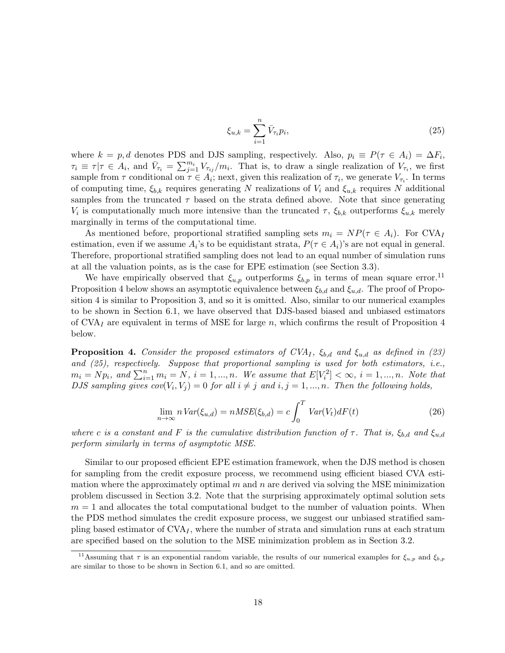$$
\xi_{u,k} = \sum_{i=1}^{n} \bar{V}_{\tau_i} p_i,
$$
\n(25)

where  $k = p, d$  denotes PDS and DJS sampling, respectively. Also,  $p_i \equiv P(\tau \in A_i) = \Delta F_i$ ,  $\tau_i \equiv \tau | \tau \in A_i$ , and  $\bar{V}_{\tau_i} = \sum_{j=1}^{m_i} V_{\tau_{ij}}/m_i$ . That is, to draw a single realization of  $V_{\tau_i}$ , we first sample from  $\tau$  conditional on  $\tau \in A_i$ ; next, given this realization of  $\tau_i$ , we generate  $V_{\tau_i}$ . In terms of computing time,  $\xi_{b,k}$  requires generating N realizations of  $V_i$  and  $\xi_{u,k}$  requires N additional samples from the truncated  $\tau$  based on the strata defined above. Note that since generating  $V_i$  is computationally much more intensive than the truncated  $\tau$ ,  $\xi_{b,k}$  outperforms  $\xi_{u,k}$  merely marginally in terms of the computational time.

As mentioned before, proportional stratified sampling sets  $m_i = NP(\tau \in A_i)$ . For CVA<sub>I</sub> estimation, even if we assume  $A_i$ 's to be equidistant strata,  $P(\tau \in A_i)$ 's are not equal in general. Therefore, proportional stratified sampling does not lead to an equal number of simulation runs at all the valuation points, as is the case for EPE estimation (see Section 3.3).

We have empirically observed that  $\xi_{u,p}$  outperforms  $\xi_{b,p}$  in terms of mean square error.<sup>11</sup> Proposition 4 below shows an asymptotic equivalence between  $\xi_{b,d}$  and  $\xi_{u,d}$ . The proof of Proposition 4 is similar to Proposition 3, and so it is omitted. Also, similar to our numerical examples to be shown in Section 6.1, we have observed that DJS-based biased and unbiased estimators of CVA<sub>I</sub> are equivalent in terms of MSE for large n, which confirms the result of Proposition 4 below.

**Proposition 4.** Consider the proposed estimators of CVA<sub>I</sub>,  $\xi_{b,d}$  and  $\xi_{u,d}$  as defined in (23) and (25), respectively. Suppose that proportional sampling is used for both estimators, i.e.,  $m_i = Np_i$ , and  $\sum_{i=1}^n m_i = N$ ,  $i = 1, ..., n$ . We assume that  $E[V_i^2] < \infty$ ,  $i = 1, ..., n$ . Note that DJS sampling gives  $cov(V_i, V_j) = 0$  for all  $i \neq j$  and  $i, j = 1, ..., n$ . Then the following holds,

$$
\lim_{n \to \infty} n \operatorname{Var}(\xi_{u,d}) = n \operatorname{MSE}(\xi_{b,d}) = c \int_0^T \operatorname{Var}(V_t) dF(t) \tag{26}
$$

where c is a constant and F is the cumulative distribution function of  $\tau$ . That is,  $\xi_{b,d}$  and  $\xi_{u,d}$ perform similarly in terms of asymptotic MSE.

Similar to our proposed efficient EPE estimation framework, when the DJS method is chosen for sampling from the credit exposure process, we recommend using efficient biased CVA estimation where the approximately optimal  $m$  and  $n$  are derived via solving the MSE minimization problem discussed in Section 3.2. Note that the surprising approximately optimal solution sets  $m = 1$  and allocates the total computational budget to the number of valuation points. When the PDS method simulates the credit exposure process, we suggest our unbiased stratified sampling based estimator of  $CVA<sub>I</sub>$ , where the number of strata and simulation runs at each stratum are specified based on the solution to the MSE minimization problem as in Section 3.2.

<sup>&</sup>lt;sup>11</sup>Assuming that  $\tau$  is an exponential random variable, the results of our numerical examples for  $\xi_{u,p}$  and  $\xi_{b,p}$ are similar to those to be shown in Section 6.1, and so are omitted.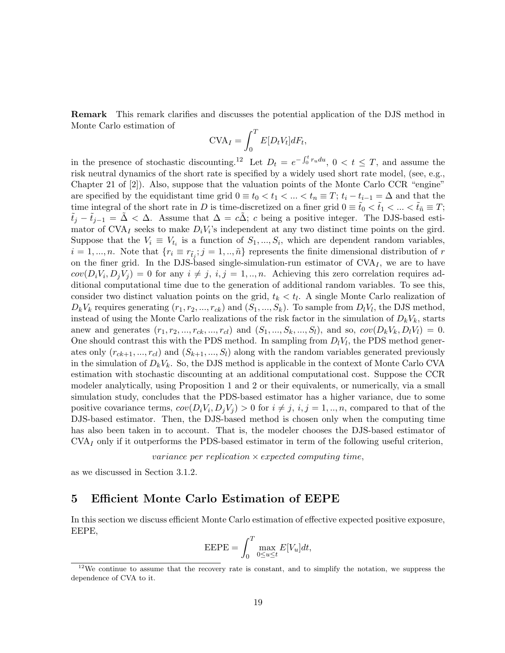Remark This remark clarifies and discusses the potential application of the DJS method in Monte Carlo estimation of

$$
CVA_I = \int_0^T E[D_tV_t]dF_t,
$$

in the presence of stochastic discounting.<sup>12</sup> Let  $D_t = e^{-\int_0^t r_u du}$ ,  $0 < t \leq T$ , and assume the risk neutral dynamics of the short rate is specified by a widely used short rate model, (see, e.g., Chapter 21 of [2]). Also, suppose that the valuation points of the Monte Carlo CCR "engine" are specified by the equidistant time grid  $0 \equiv t_0 < t_1 < ... < t_n \equiv T$ ;  $t_i - t_{i-1} = \Delta$  and that the time integral of the short rate in D is time-discretized on a finer grid  $0 \equiv t_0 < t_1 < ... < t_{\tilde{n}} \equiv T$ ;  $\tilde{t}_j - \tilde{t}_{j-1} = \Delta < \Delta$ . Assume that  $\Delta = c\Delta$ ; c being a positive integer. The DJS-based estimator of CVA<sub>I</sub> seeks to make  $D_i V_i$ 's independent at any two distinct time points on the gird. Suppose that the  $V_i \equiv V_{t_i}$  is a function of  $S_1, ..., S_i$ , which are dependent random variables,  $i = 1, ..., n$ . Note that  $\{r_i \equiv r_{\tilde{t}_j}; j = 1, ..., \tilde{n}\}$  represents the finite dimensional distribution of r on the finer grid. In the DJS-based single-simulation-run estimator of  $CVA<sub>I</sub>$ , we are to have  $cov(D_i V_i, D_j V_j) = 0$  for any  $i \neq j$ ,  $i, j = 1, ..., n$ . Achieving this zero correlation requires additional computational time due to the generation of additional random variables. To see this, consider two distinct valuation points on the grid,  $t_k < t_l$ . A single Monte Carlo realization of  $D_k V_k$  requires generating  $(r_1, r_2, ..., r_{ck})$  and  $(S_1, ..., S_k)$ . To sample from  $D_l V_l$ , the DJS method, instead of using the Monte Carlo realizations of the risk factor in the simulation of  $D_k V_k$ , starts anew and generates  $(r_1, r_2, ..., r_{ck}, ..., r_{cl})$  and  $(S_1, ..., S_k, ..., S_l)$ , and so,  $cov(D_k V_k, D_l V_l) = 0$ . One should contrast this with the PDS method. In sampling from  $D_l V_l$ , the PDS method generates only  $(r_{ck+1},...,r_{cl})$  and  $(S_{k+1},...,S_l)$  along with the random variables generated previously in the simulation of  $D_kV_k$ . So, the DJS method is applicable in the context of Monte Carlo CVA estimation with stochastic discounting at an additional computational cost. Suppose the CCR modeler analytically, using Proposition 1 and 2 or their equivalents, or numerically, via a small simulation study, concludes that the PDS-based estimator has a higher variance, due to some positive covariance terms,  $cov(D_i V_i, D_j V_j) > 0$  for  $i \neq j$ ,  $i, j = 1, ..., n$ , compared to that of the DJS-based estimator. Then, the DJS-based method is chosen only when the computing time has also been taken in to account. That is, the modeler chooses the DJS-based estimator of  $\text{CVA}_I$  only if it outperforms the PDS-based estimator in term of the following useful criterion,

variance per replication  $\times$  expected computing time,

as we discussed in Section 3.1.2.

### 5 Efficient Monte Carlo Estimation of EEPE

In this section we discuss efficient Monte Carlo estimation of effective expected positive exposure, EEPE,

$$
\text{EEPE} = \int_0^T \max_{0 \le u \le t} E[V_u] dt,
$$

 $12$ We continue to assume that the recovery rate is constant, and to simplify the notation, we suppress the dependence of CVA to it.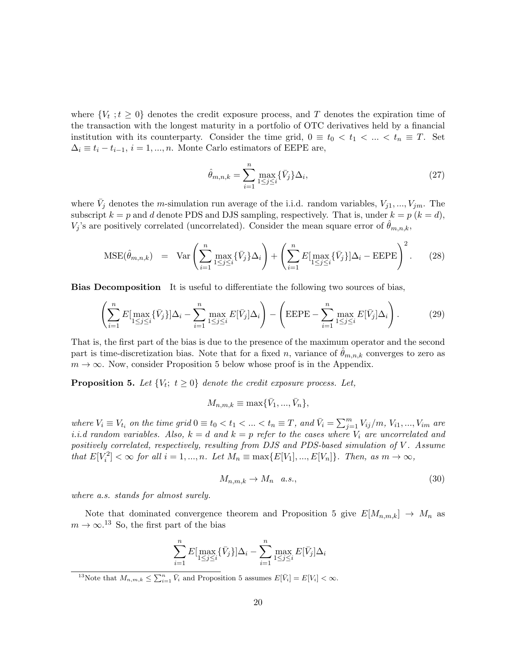where  $\{V_t : t \geq 0\}$  denotes the credit exposure process, and T denotes the expiration time of the transaction with the longest maturity in a portfolio of OTC derivatives held by a financial institution with its counterparty. Consider the time grid,  $0 \equiv t_0 < t_1 < ... < t_n \equiv T$ . Set  $\Delta_i \equiv t_i - t_{i-1}, i = 1, ..., n$ . Monte Carlo estimators of EEPE are,

$$
\hat{\theta}_{m,n,k} = \sum_{i=1}^{n} \max_{1 \le j \le i} {\{\bar{V}_j\}\Delta_i},\tag{27}
$$

where  $\bar{V}_j$  denotes the *m*-simulation run average of the i.i.d. random variables,  $V_{j1}, ..., V_{jm}$ . The subscript  $k = p$  and d denote PDS and DJS sampling, respectively. That is, under  $k = p$  ( $k = d$ ),  $V_j$ 's are positively correlated (uncorrelated). Consider the mean square error of  $\hat{\theta}_{m,n,k}$ ,

$$
\text{MSE}(\hat{\theta}_{m,n,k}) = \text{Var}\left(\sum_{i=1}^{n} \max_{1 \leq j \leq i} \{\bar{V}_j\} \Delta_i\right) + \left(\sum_{i=1}^{n} E[\max_{1 \leq j \leq i} \{\bar{V}_j\}] \Delta_i - \text{EEPE}\right)^2. \tag{28}
$$

Bias Decomposition It is useful to differentiate the following two sources of bias,

$$
\left(\sum_{i=1}^{n} E[\max_{1\leq j\leq i} \{\bar{V}_j\}]\Delta_i - \sum_{i=1}^{n} \max_{1\leq j\leq i} E[\bar{V}_j]\Delta_i\right) - \left( \text{EEPE} - \sum_{i=1}^{n} \max_{1\leq j\leq i} E[\bar{V}_j]\Delta_i\right). \tag{29}
$$

That is, the first part of the bias is due to the presence of the maximum operator and the second part is time-discretization bias. Note that for a fixed n, variance of  $\hat{\theta}_{m,n,k}$  converges to zero as  $m \to \infty$ . Now, consider Proposition 5 below whose proof is in the Appendix.

**Proposition 5.** Let  $\{V_t; t \geq 0\}$  denote the credit exposure process. Let,

$$
M_{n,m,k} \equiv \max{\{\bar{V}_1,...,\bar{V}_n\}},
$$

where  $V_i \equiv V_{t_i}$  on the time grid  $0 \equiv t_0 < t_1 < \ldots < t_n \equiv T$ , and  $\bar{V}_i = \sum_{j=1}^m V_{ij}/m$ ,  $V_{i1}, ..., V_{im}$  are i.i.d random variables. Also,  $k = d$  and  $k = p$  refer to the cases where  $V_i$  are uncorrelated and positively correlated, respectively, resulting from DJS and PDS-based simulation of V. Assume that  $E[V_i^2] < \infty$  for all  $i = 1, ..., n$ . Let  $M_n \equiv \max\{E[V_1], ..., E[V_n]\}$ . Then, as  $m \to \infty$ ,

$$
M_{n,m,k} \to M_n \quad a.s.,\tag{30}
$$

where a.s. stands for almost surely.

Note that dominated convergence theorem and Proposition 5 give  $E[M_{n,m,k}] \to M_n$  as  $m \to \infty$ .<sup>13</sup> So, the first part of the bias

$$
\sum_{i=1}^{n} E[\max_{1 \leq j \leq i} {\{\bar{V}_j\}}] \Delta_i - \sum_{i=1}^{n} \max_{1 \leq j \leq i} E[\bar{V}_j] \Delta_i
$$

<sup>13</sup>Note that  $M_{n,m,k} \leq \sum_{i=1}^n \bar{V}_i$  and Proposition 5 assumes  $E[\bar{V}_i] = E[V_i] < \infty$ .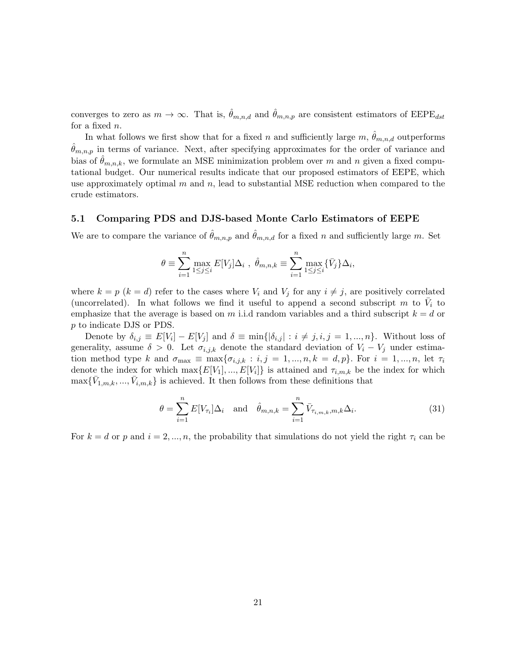converges to zero as  $m \to \infty$ . That is,  $\hat{\theta}_{m,n,d}$  and  $\hat{\theta}_{m,n,p}$  are consistent estimators of EEPE<sub>dst</sub> for a fixed n.

In what follows we first show that for a fixed n and sufficiently large  $m$ ,  $\hat{\theta}_{m,n,d}$  outperforms  $\hat{\theta}_{m,n,p}$  in terms of variance. Next, after specifying approximates for the order of variance and bias of  $\hat{\theta}_{m,n,k}$ , we formulate an MSE minimization problem over m and n given a fixed computational budget. Our numerical results indicate that our proposed estimators of EEPE, which use approximately optimal  $m$  and  $n$ , lead to substantial MSE reduction when compared to the crude estimators.

#### 5.1 Comparing PDS and DJS-based Monte Carlo Estimators of EEPE

We are to compare the variance of  $\hat{\theta}_{m,n,p}$  and  $\hat{\theta}_{m,n,d}$  for a fixed n and sufficiently large m. Set

$$
\theta \equiv \sum_{i=1}^n \max_{1 \leq j \leq i} E[V_j] \Delta_i , \quad \hat{\theta}_{m,n,k} \equiv \sum_{i=1}^n \max_{1 \leq j \leq i} {\{\bar{V}_j\}} \Delta_i,
$$

where  $k = p$  ( $k = d$ ) refer to the cases where  $V_i$  and  $V_j$  for any  $i \neq j$ , are positively correlated (uncorrelated). In what follows we find it useful to append a second subscript m to  $\bar{V}_i$  to emphasize that the average is based on m i.i.d random variables and a third subscript  $k = d$  or p to indicate DJS or PDS.

Denote by  $\delta_{i,j} \equiv E[V_i] - E[V_j]$  and  $\delta \equiv \min\{|\delta_{i,j}| : i \neq j, i, j = 1, ..., n\}$ . Without loss of generality, assume  $\delta > 0$ . Let  $\sigma_{i,j,k}$  denote the standard deviation of  $V_i - V_j$  under estimation method type k and  $\sigma_{\text{max}} \equiv \max\{\sigma_{i,j,k} : i,j = 1,...,n, k = d, p\}$ . For  $i = 1,...,n$ , let  $\tau_i$ denote the index for which  $\max\{E[V_1],...,E[V_i]\}$  is attained and  $\tau_{i,m,k}$  be the index for which  $\max\{\bar{V}_{1,m,k},...,\bar{V}_{i,m,k}\}\$  is achieved. It then follows from these definitions that

$$
\theta = \sum_{i=1}^{n} E[V_{\tau_i}] \Delta_i \quad \text{and} \quad \hat{\theta}_{m,n,k} = \sum_{i=1}^{n} \bar{V}_{\tau_{i,m,k},m,k} \Delta_i.
$$
 (31)

For  $k = d$  or p and  $i = 2, ..., n$ , the probability that simulations do not yield the right  $\tau_i$  can be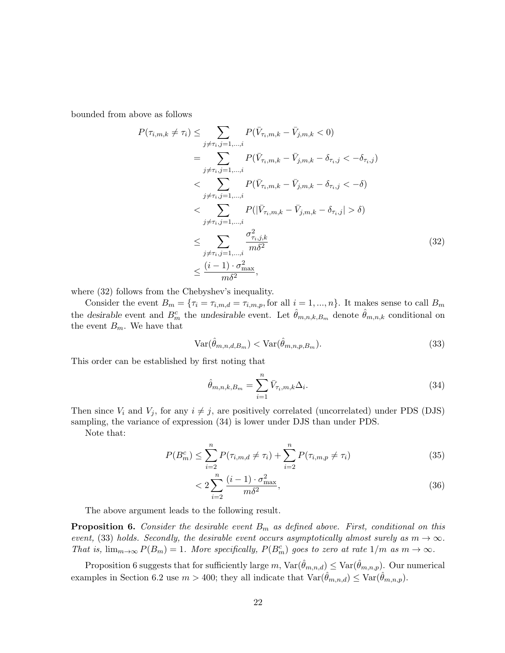bounded from above as follows

$$
P(\tau_{i,m,k} \neq \tau_i) \leq \sum_{j \neq \tau_i, j=1,\dots,i} P(\bar{V}_{\tau_i,m,k} - \bar{V}_{j,m,k} < 0)
$$
\n
$$
= \sum_{j \neq \tau_i, j=1,\dots,i} P(\bar{V}_{\tau_i,m,k} - \bar{V}_{j,m,k} - \delta_{\tau_i,j} < -\delta_{\tau_i,j})
$$
\n
$$
< \sum_{j \neq \tau_i, j=1,\dots,i} P(\bar{V}_{\tau_i,m,k} - \bar{V}_{j,m,k} - \delta_{\tau_i,j} < -\delta)
$$
\n
$$
< \sum_{j \neq \tau_i, j=1,\dots,i} P(|\bar{V}_{\tau_i,m,k} - \bar{V}_{j,m,k} - \delta_{\tau_i,j}| > \delta)
$$
\n
$$
\leq \sum_{j \neq \tau_i, j=1,\dots,i} \frac{\sigma_{\tau_i,j,k}^2}{m\delta^2}
$$
\n
$$
\leq \frac{(i-1) \cdot \sigma_{\text{max}}^2}{m\delta^2}, \tag{32}
$$

where (32) follows from the Chebyshev's inequality.

Consider the event  $B_m = \{\tau_i = \tau_{i,m,d} = \tau_{i,m,p}$ , for all  $i = 1, ..., n\}$ . It makes sense to call  $B_m$ the desirable event and  $B_m^c$  the undesirable event. Let  $\hat{\theta}_{m,n,k,B_m}$  denote  $\hat{\theta}_{m,n,k}$  conditional on the event  $B_m.$  We have that

$$
\text{Var}(\hat{\theta}_{m,n,d,B_m}) < \text{Var}(\hat{\theta}_{m,n,p,B_m}).\tag{33}
$$

This order can be established by first noting that

$$
\hat{\theta}_{m,n,k,B_m} = \sum_{i=1}^n \bar{V}_{\tau_i,m,k} \Delta_i.
$$
\n(34)

Then since  $V_i$  and  $V_j$ , for any  $i \neq j$ , are positively correlated (uncorrelated) under PDS (DJS) sampling, the variance of expression (34) is lower under DJS than under PDS.

Note that:

$$
P(B_m^c) \le \sum_{i=2}^n P(\tau_{i,m,d} \ne \tau_i) + \sum_{i=2}^n P(\tau_{i,m,p} \ne \tau_i)
$$
\n(35)

$$
\langle 2\sum_{i=2}^{n} \frac{(i-1)\cdot \sigma_{\text{max}}^2}{m\delta^2},\tag{36}
$$

The above argument leads to the following result.

**Proposition 6.** Consider the desirable event  $B_m$  as defined above. First, conditional on this event, (33) holds. Secondly, the desirable event occurs asymptotically almost surely as  $m \to \infty$ . That is,  $\lim_{m\to\infty} P(B_m) = 1$ . More specifically,  $P(B_m^c)$  goes to zero at rate  $1/m$  as  $m \to \infty$ .

Proposition 6 suggests that for sufficiently large m,  $\text{Var}(\hat{\theta}_{m,n,d}) \leq \text{Var}(\hat{\theta}_{m,n,p})$ . Our numerical examples in Section 6.2 use  $m > 400$ ; they all indicate that  $\text{Var}(\theta_{m,n,d}) \leq \text{Var}(\theta_{m,n,p})$ .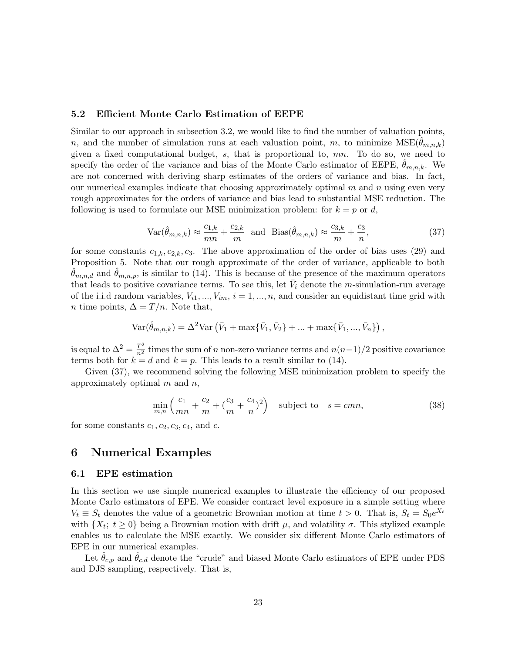#### 5.2 Efficient Monte Carlo Estimation of EEPE

Similar to our approach in subsection 3.2, we would like to find the number of valuation points, n, and the number of simulation runs at each valuation point, m, to minimize  $MSE(\theta_{m,n,k})$ given a fixed computational budget,  $s$ , that is proportional to,  $mn$ . To do so, we need to specify the order of the variance and bias of the Monte Carlo estimator of EEPE,  $\theta_{m,n,k}$ . We are not concerned with deriving sharp estimates of the orders of variance and bias. In fact, our numerical examples indicate that choosing approximately optimal  $m$  and  $n$  using even very rough approximates for the orders of variance and bias lead to substantial MSE reduction. The following is used to formulate our MSE minimization problem: for  $k = p$  or d,

$$
\text{Var}(\hat{\theta}_{m,n,k}) \approx \frac{c_{1,k}}{mn} + \frac{c_{2,k}}{m} \quad \text{and} \quad \text{Bias}(\hat{\theta}_{m,n,k}) \approx \frac{c_{3,k}}{m} + \frac{c_3}{n},\tag{37}
$$

for some constants  $c_{1,k}, c_{2,k}, c_3$ . The above approximation of the order of bias uses (29) and Proposition 5. Note that our rough approximate of the order of variance, applicable to both  $\theta_{m,n,d}$  and  $\theta_{m,n,p}$ , is similar to (14). This is because of the presence of the maximum operators that leads to positive covariance terms. To see this, let  $\bar{V}_i$  denote the *m*-simulation-run average of the i.i.d random variables,  $V_{i1}, ..., V_{im}$ ,  $i = 1, ..., n$ , and consider an equidistant time grid with *n* time points,  $\Delta = T/n$ . Note that,

$$
Var(\hat{\theta}_{m,n,k}) = \Delta^2 Var\left(\bar{V}_1 + \max{\{\bar{V}_1, \bar{V}_2\}} + ... + \max{\{\bar{V}_1, ..., \bar{V}_n\}}\right),
$$

is equal to  $\Delta^2 = \frac{T^2}{n^2}$  times the sum of n non-zero variance terms and  $n(n-1)/2$  positive covariance terms both for  $k = d$  and  $k = p$ . This leads to a result similar to (14).

Given (37), we recommend solving the following MSE minimization problem to specify the approximately optimal  $m$  and  $n$ ,

$$
\min_{m,n} \left( \frac{c_1}{mn} + \frac{c_2}{m} + \left( \frac{c_3}{m} + \frac{c_4}{n} \right)^2 \right) \quad \text{subject to} \quad s = cmn,
$$
\n
$$
(38)
$$

for some constants  $c_1, c_2, c_3, c_4$ , and c.

### 6 Numerical Examples

#### 6.1 EPE estimation

In this section we use simple numerical examples to illustrate the efficiency of our proposed Monte Carlo estimators of EPE. We consider contract level exposure in a simple setting where  $V_t \equiv S_t$  denotes the value of a geometric Brownian motion at time  $t > 0$ . That is,  $S_t = S_0 e^{X_t}$ with  $\{X_t; t \geq 0\}$  being a Brownian motion with drift  $\mu$ , and volatility  $\sigma$ . This stylized example enables us to calculate the MSE exactly. We consider six different Monte Carlo estimators of EPE in our numerical examples.

Let  $\theta_{c,p}$  and  $\theta_{c,d}$  denote the "crude" and biased Monte Carlo estimators of EPE under PDS and DJS sampling, respectively. That is,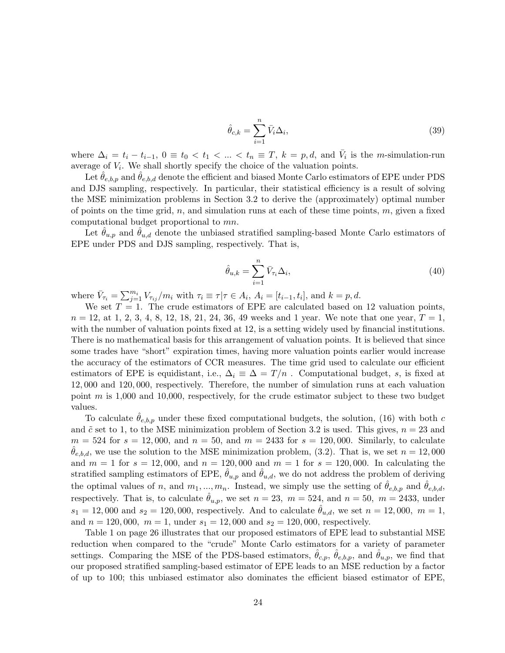$$
\hat{\theta}_{c,k} = \sum_{i=1}^{n} \bar{V}_i \Delta_i, \tag{39}
$$

where  $\Delta_i = t_i - t_{i-1}, 0 \equiv t_0 < t_1 < ... < t_n \equiv T, k = p, d$ , and  $\overline{V}_i$  is the *m*-simulation-run average of  $V_i$ . We shall shortly specify the choice of the valuation points.

Let  $\theta_{e,b,p}$  and  $\theta_{e,b,d}$  denote the efficient and biased Monte Carlo estimators of EPE under PDS and DJS sampling, respectively. In particular, their statistical efficiency is a result of solving the MSE minimization problems in Section 3.2 to derive the (approximately) optimal number of points on the time grid, n, and simulation runs at each of these time points,  $m$ , given a fixed computational budget proportional to mn.

Let  $\theta_{u,p}$  and  $\theta_{u,d}$  denote the unbiased stratified sampling-based Monte Carlo estimators of EPE under PDS and DJS sampling, respectively. That is,

$$
\hat{\theta}_{u,k} = \sum_{i=1}^{n} \bar{V}_{\tau_i} \Delta_i,\tag{40}
$$

where  $\bar{V}_{\tau_i} = \sum_{j=1}^{m_i} V_{\tau_{ij}}/m_i$  with  $\tau_i \equiv \tau | \tau \in A_i$ ,  $A_i = [t_{i-1}, t_i]$ , and  $k = p, d$ .

We set  $T = 1$ . The crude estimators of EPE are calculated based on 12 valuation points,  $n = 12$ , at 1, 2, 3, 4, 8, 12, 18, 21, 24, 36, 49 weeks and 1 year. We note that one year,  $T = 1$ , with the number of valuation points fixed at 12, is a setting widely used by financial institutions. There is no mathematical basis for this arrangement of valuation points. It is believed that since some trades have "short" expiration times, having more valuation points earlier would increase the accuracy of the estimators of CCR measures. The time grid used to calculate our efficient estimators of EPE is equidistant, i.e.,  $\Delta_i \equiv \Delta = T/n$ . Computational budget, s, is fixed at 12, 000 and 120, 000, respectively. Therefore, the number of simulation runs at each valuation point  $m$  is 1,000 and 10,000, respectively, for the crude estimator subject to these two budget values.

To calculate  $\hat{\theta}_{e,b,p}$  under these fixed computational budgets, the solution, (16) with both c and  $\tilde{c}$  set to 1, to the MSE minimization problem of Section 3.2 is used. This gives,  $n = 23$  and  $m = 524$  for  $s = 12,000$ , and  $n = 50$ , and  $m = 2433$  for  $s = 120,000$ . Similarly, to calculate  $\theta_{e,b,d}$ , we use the solution to the MSE minimization problem, (3.2). That is, we set  $n = 12,000$ and  $m = 1$  for  $s = 12,000$ , and  $n = 120,000$  and  $m = 1$  for  $s = 120,000$ . In calculating the stratified sampling estimators of EPE,  $\theta_{u,p}$  and  $\theta_{u,d}$ , we do not address the problem of deriving the optimal values of n, and  $m_1, ..., m_n$ . Instead, we simply use the setting of  $\hat{\theta}_{e,b,p}$  and  $\hat{\theta}_{e,b,d}$ , respectively. That is, to calculate  $\theta_{u,p}$ , we set  $n = 23$ ,  $m = 524$ , and  $n = 50$ ,  $m = 2433$ , under  $s_1 = 12,000$  and  $s_2 = 120,000$ , respectively. And to calculate  $\theta_{u,d}$ , we set  $n = 12,000$ ,  $m = 1$ , and  $n = 120,000$ ,  $m = 1$ , under  $s_1 = 12,000$  and  $s_2 = 120,000$ , respectively.

Table 1 on page 26 illustrates that our proposed estimators of EPE lead to substantial MSE reduction when compared to the "crude" Monte Carlo estimators for a variety of parameter settings. Comparing the MSE of the PDS-based estimators,  $\hat{\theta}_{c,p}$ ,  $\hat{\theta}_{e,b,p}$ , and  $\hat{\theta}_{u,p}$ , we find that our proposed stratified sampling-based estimator of EPE leads to an MSE reduction by a factor of up to 100; this unbiased estimator also dominates the efficient biased estimator of EPE,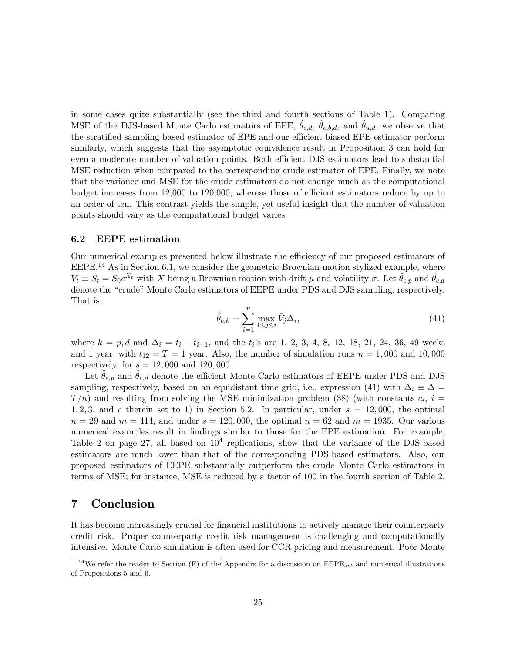in some cases quite substantially (see the third and fourth sections of Table 1). Comparing MSE of the DJS-based Monte Carlo estimators of EPE,  $\hat{\theta}_{c,d}$ ,  $\hat{\theta}_{e,b,d}$ , and  $\hat{\theta}_{u,d}$ , we observe that the stratified sampling-based estimator of EPE and our efficient biased EPE estimator perform similarly, which suggests that the asymptotic equivalence result in Proposition 3 can hold for even a moderate number of valuation points. Both efficient DJS estimators lead to substantial MSE reduction when compared to the corresponding crude estimator of EPE. Finally, we note that the variance and MSE for the crude estimators do not change much as the computational budget increases from 12,000 to 120,000, whereas those of efficient estimators reduce by up to an order of ten. This contrast yields the simple, yet useful insight that the number of valuation points should vary as the computational budget varies.

#### 6.2 EEPE estimation

Our numerical examples presented below illustrate the efficiency of our proposed estimators of  $E EPE<sup>14</sup>$  As in Section 6.1, we consider the geometric-Brownian-motion stylized example, where  $V_t \equiv S_t = S_0 e^{X_t}$  with X being a Brownian motion with drift  $\mu$  and volatility  $\sigma$ . Let  $\hat{\theta}_{c,p}$  and  $\hat{\theta}_{c,d}$ denote the "crude" Monte Carlo estimators of EEPE under PDS and DJS sampling, respectively. That is,

$$
\hat{\theta}_{c,k} = \sum_{i=1}^{n} \max_{1 \le j \le i} \bar{V}_j \Delta_i,
$$
\n(41)

where  $k = p, d$  and  $\Delta_i = t_i - t_{i-1}$ , and the  $t_i$ 's are 1, 2, 3, 4, 8, 12, 18, 21, 24, 36, 49 weeks and 1 year, with  $t_{12} = T = 1$  year. Also, the number of simulation runs  $n = 1,000$  and 10,000 respectively, for  $s = 12,000$  and  $120,000$ .

Let  $\theta_{e,p}$  and  $\theta_{e,d}$  denote the efficient Monte Carlo estimators of EEPE under PDS and DJS sampling, respectively, based on an equidistant time grid, i.e., expression (41) with  $\Delta_i \equiv \Delta =$  $T/n$ ) and resulting from solving the MSE minimization problem (38) (with constants  $c_i$ ,  $i =$ 1, 2, 3, and c therein set to 1) in Section 5.2. In particular, under  $s = 12,000$ , the optimal  $n = 29$  and  $m = 414$ , and under  $s = 120,000$ , the optimal  $n = 62$  and  $m = 1935$ . Our various numerical examples result in findings similar to those for the EPE estimation. For example, Table 2 on page 27, all based on  $10^4$  replications, show that the variance of the DJS-based estimators are much lower than that of the corresponding PDS-based estimators. Also, our proposed estimators of EEPE substantially outperform the crude Monte Carlo estimators in terms of MSE; for instance, MSE is reduced by a factor of 100 in the fourth section of Table 2.

### 7 Conclusion

It has become increasingly crucial for financial institutions to actively manage their counterparty credit risk. Proper counterparty credit risk management is challenging and computationally intensive. Monte Carlo simulation is often used for CCR pricing and measurement. Poor Monte

<sup>&</sup>lt;sup>14</sup>We refer the reader to Section (F) of the Appendix for a discussion on  $\text{EEPE}_{dst}$  and numerical illustrations of Propositions 5 and 6.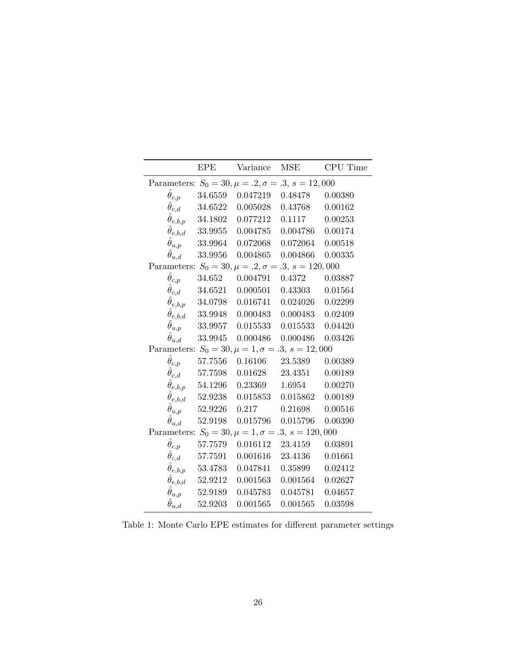|                                                            | <b>EPE</b>                     | Variance MSE                                           |                                 | CPU Time |  |
|------------------------------------------------------------|--------------------------------|--------------------------------------------------------|---------------------------------|----------|--|
| Parameters: $S_0 = 30, \mu = .2, \sigma = .3, s = 12,000$  |                                |                                                        |                                 |          |  |
| $\hat{\theta}_{c,p}$                                       |                                | 34.6559  0.047219  0.48478                             |                                 | 0.00380  |  |
| $\hat{\theta}_{c,d}$                                       | 34.6522                        |                                                        | $0.005028$ $0.43768$ $0.00162$  |          |  |
|                                                            | $\hat{\theta}_{e,b,p}$ 34.1802 | 0.077212                                               | 0.1117                          | 0.00253  |  |
|                                                            |                                | $\hat{\theta}_{e,b,d}$ 33.9955 0.004785                | 0.004786 0.00174                |          |  |
|                                                            |                                | $\hat{\theta}_{u,p}$ 33.9964 0.072068 0.072064 0.00518 |                                 |          |  |
| $\hat{\theta}_{u,d}$                                       |                                | 33.9956  0.004865  0.004866  0.00335                   |                                 |          |  |
| Parameters: $S_0 = 30, \mu = .2, \sigma = .3, s = 120,000$ |                                |                                                        |                                 |          |  |
| $\hat{\theta}_{c,p}$                                       |                                | 34.652  0.004791  0.4372                               |                                 | 0.03887  |  |
| $\hat{\theta}_{c,d}$                                       |                                | $34.6521$ $0.000501$ $0.43303$ $0.01564$               |                                 |          |  |
|                                                            | $\hat{\theta}_{e,b,p}$ 34.0798 | 0.016741                                               | 0.024026 0.02299                |          |  |
|                                                            | $\hat{\theta}_{e,b,d}$ 33.9948 | 0.000483                                               | 0.000483 0.02409                |          |  |
|                                                            |                                | $\hat{\theta}_{u,p}$ 33.9957 0.015533 0.015533 0.04420 |                                 |          |  |
| $\hat{\theta}_{u,d}$                                       |                                | 33.9945  0.000486  0.000486  0.03426                   |                                 |          |  |
| Parameters: $S_0 = 30, \mu = 1, \sigma = .3, s = 12,000$   |                                |                                                        |                                 |          |  |
| $\hat{\theta}_{c,p}$                                       |                                | 57.7556  0.16106  23.5389                              |                                 | 0.00389  |  |
| $\hat{\theta}_{c,d}$                                       | 57.7598                        |                                                        | $0.01628$ $23.4351$ $0.00189$   |          |  |
|                                                            | $\hat{\theta}_{e,b,p}$ 54.1296 | $0.23369$ $1.6954$                                     |                                 | 0.00270  |  |
|                                                            | $\hat{\theta}_{e,b,d}$ 52.9238 |                                                        | $0.015853$ $0.015862$ $0.00189$ |          |  |
| $\hat{\theta}_{u,p}$                                       | 52.9226                        | 0.217                                                  | $0.21698$ $0.00516$             |          |  |
| $\hat{\theta}_{u,d}$                                       |                                | 52.9198  0.015796  0.015796  0.00390                   |                                 |          |  |
| Parameters: $S_0 = 30, \mu = 1, \sigma = .3, s = 120,000$  |                                |                                                        |                                 |          |  |
| $\ddot{\theta}_{c,p}$                                      |                                | 57.7579  0.016112  23.4159  0.03891                    |                                 |          |  |
| $\hat{\theta}_{c,d}$                                       | 57.7591                        |                                                        | 0.001616 23.4136 0.01661        |          |  |
|                                                            | $\hat{\theta}_{e,b,p}$ 53.4783 |                                                        | $0.047841$ $0.35899$ $0.02412$  |          |  |
|                                                            | $\hat{\theta}_{e,b,d}$ 52.9212 | 0.001563                                               | 0.001564                        | 0.02627  |  |
| $\hat{\theta}_{u,p}$                                       | 52.9189                        | 0.045783                                               | 0.045781 0.04657                |          |  |
| $\hat{\theta}_{u,d}$                                       | 52.9203                        | 0.001565                                               | 0.001565                        | 0.03598  |  |

Table 1: Monte Carlo EPE estimates for different parameter settings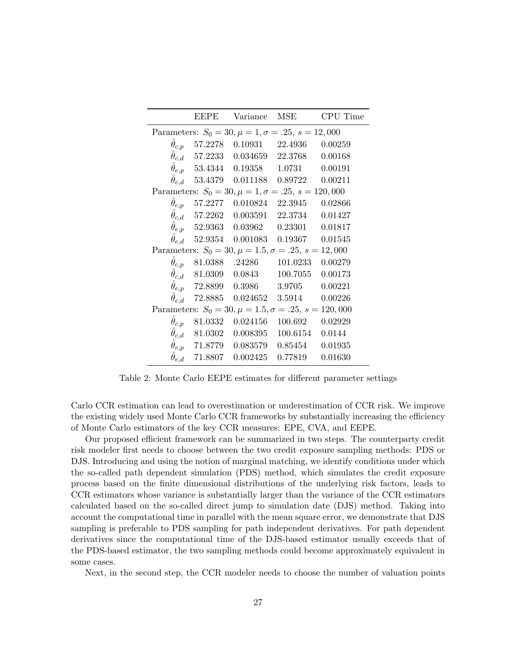|                                                              | <b>EEPE</b> | Variance                                              | <b>MSE</b> | CPU Time |  |
|--------------------------------------------------------------|-------------|-------------------------------------------------------|------------|----------|--|
| Parameters: $S_0 = 30, \mu = 1, \sigma = .25, s = 12,000$    |             |                                                       |            |          |  |
| $\theta_{c,p}$                                               |             | $57.2278 \quad 0.10931 \qquad 22.4936 \qquad 0.00259$ |            |          |  |
|                                                              |             | $\hat{\theta}_{c,d}$ 57.2233 0.034659 22.3768         |            | 0.00168  |  |
|                                                              |             | $\hat{\theta}_{e,p}$ 53.4344 0.19358 1.0731 0.00191   |            |          |  |
|                                                              |             | $\hat{\theta}_{e,d}$ 53.4379 0.011188 0.89722 0.00211 |            |          |  |
| Parameters: $S_0 = 30, \mu = 1, \sigma = .25, s = 120,000$   |             |                                                       |            |          |  |
| $\hat{\theta}_{c,p}$                                         |             | 57.2277   0.010824   22.3945                          |            | 0.02866  |  |
|                                                              |             | $\hat{\theta}_{c,d}$ 57.2262 0.003591 22.3734         |            | 0.01427  |  |
|                                                              |             | $\hat{\theta}_{e,p}$ 52.9363 0.03962 0.23301          |            | 0.01817  |  |
|                                                              |             | $\theta_{e,d}$ 52.9354 0.001083 0.19367 0.01545       |            |          |  |
| Parameters: $S_0 = 30, \mu = 1.5, \sigma = .25, s = 12,000$  |             |                                                       |            |          |  |
|                                                              |             | $\ddot{\theta}_{c,p}$ 81.0388 .24286 101.0233 0.00279 |            |          |  |
|                                                              |             | $\hat{\theta}_{c,d}$ 81.0309 0.0843                   | 100.7055   | 0.00173  |  |
|                                                              |             | $\hat{\theta}_{e,p}$ 72.8899 0.3986                   | 3.9705     | 0.00221  |  |
| $\theta_{e,d}$                                               |             | 72.8885  0.024652  3.5914  0.00226                    |            |          |  |
| Parameters: $S_0 = 30, \mu = 1.5, \sigma = .25, s = 120,000$ |             |                                                       |            |          |  |
| $\theta_{c,p}$                                               |             | 81.0332  0.024156  100.692                            |            | 0.02929  |  |
|                                                              |             | $\hat{\theta}_{c,d}$ 81.0302 0.008395                 | 100.6154   | 0.0144   |  |
|                                                              |             | $\hat{\theta}_{e,p}$ 71.8779 0.083579                 | 0.85454    | 0.01935  |  |
| $\theta_{e,d}$                                               |             | 71.8807  0.002425                                     | 0.77819    | 0.01630  |  |

Table 2: Monte Carlo EEPE estimates for different parameter settings

Carlo CCR estimation can lead to overestimation or underestimation of CCR risk. We improve the existing widely used Monte Carlo CCR frameworks by substantially increasing the efficiency of Monte Carlo estimators of the key CCR measures: EPE, CVA, and EEPE.

Our proposed efficient framework can be summarized in two steps. The counterparty credit risk modeler first needs to choose between the two credit exposure sampling methods: PDS or DJS. Introducing and using the notion of marginal matching, we identify conditions under which the so-called path dependent simulation (PDS) method, which simulates the credit exposure process based on the finite dimensional distributions of the underlying risk factors, leads to CCR estimators whose variance is substantially larger than the variance of the CCR estimators calculated based on the so-called direct jump to simulation date (DJS) method. Taking into account the computational time in parallel with the mean square error, we demonstrate that DJS sampling is preferable to PDS sampling for path independent derivatives. For path dependent derivatives since the computational time of the DJS-based estimator usually exceeds that of the PDS-based estimator, the two sampling methods could become approximately equivalent in some cases.

Next, in the second step, the CCR modeler needs to choose the number of valuation points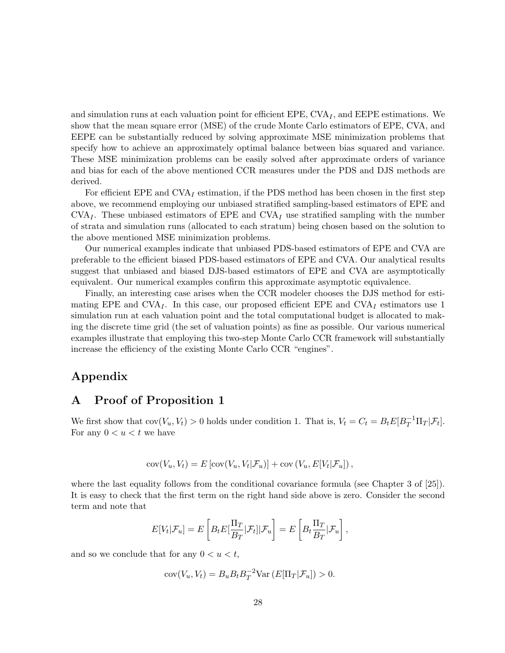and simulation runs at each valuation point for efficient EPE,  $CVA<sub>I</sub>$ , and EEPE estimations. We show that the mean square error (MSE) of the crude Monte Carlo estimators of EPE, CVA, and EEPE can be substantially reduced by solving approximate MSE minimization problems that specify how to achieve an approximately optimal balance between bias squared and variance. These MSE minimization problems can be easily solved after approximate orders of variance and bias for each of the above mentioned CCR measures under the PDS and DJS methods are derived.

For efficient EPE and  $CVA<sub>I</sub>$  estimation, if the PDS method has been chosen in the first step above, we recommend employing our unbiased stratified sampling-based estimators of EPE and  $\text{CVA}_I$ . These unbiased estimators of EPE and  $\text{CVA}_I$  use stratified sampling with the number of strata and simulation runs (allocated to each stratum) being chosen based on the solution to the above mentioned MSE minimization problems.

Our numerical examples indicate that unbiased PDS-based estimators of EPE and CVA are preferable to the efficient biased PDS-based estimators of EPE and CVA. Our analytical results suggest that unbiased and biased DJS-based estimators of EPE and CVA are asymptotically equivalent. Our numerical examples confirm this approximate asymptotic equivalence.

Finally, an interesting case arises when the CCR modeler chooses the DJS method for estimating EPE and  $CVA<sub>I</sub>$ . In this case, our proposed efficient EPE and  $CVA<sub>I</sub>$  estimators use 1 simulation run at each valuation point and the total computational budget is allocated to making the discrete time grid (the set of valuation points) as fine as possible. Our various numerical examples illustrate that employing this two-step Monte Carlo CCR framework will substantially increase the efficiency of the existing Monte Carlo CCR "engines".

### Appendix

### A Proof of Proposition 1

We first show that  $cov(V_u, V_t) > 0$  holds under condition 1. That is,  $V_t = C_t = B_t E[B_T^{-1} \Pi_T | \mathcal{F}_t].$ For any  $0 < u < t$  we have

$$
cov(V_u, V_t) = E[cov(V_u, V_t | \mathcal{F}_u)] + cov(V_u, E[V_t | \mathcal{F}_u]),
$$

where the last equality follows from the conditional covariance formula (see Chapter 3 of [25]). It is easy to check that the first term on the right hand side above is zero. Consider the second term and note that

$$
E[V_t|\mathcal{F}_u] = E\left[B_t E\left[\frac{\Pi_T}{B_T}|\mathcal{F}_t|\right|\mathcal{F}_u\right] = E\left[B_t \frac{\Pi_T}{B_T}|\mathcal{F}_u\right],
$$

and so we conclude that for any  $0 < u < t$ ,

$$
cov(V_u, V_t) = B_u B_t B_T^{-2} Var(E[\Pi_T|\mathcal{F}_u]) > 0.
$$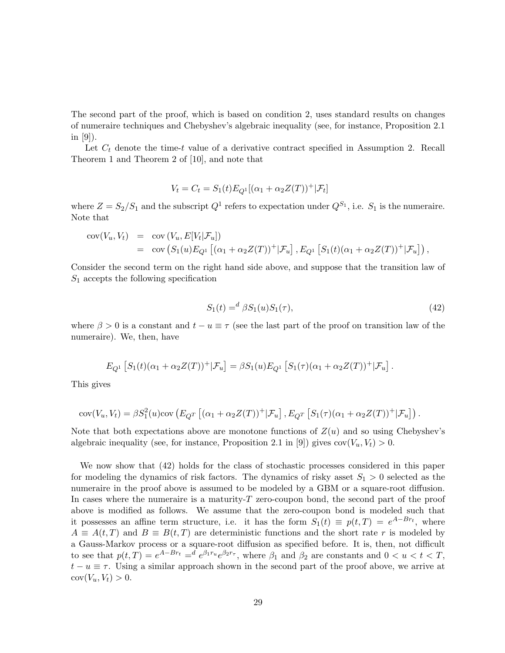The second part of the proof, which is based on condition 2, uses standard results on changes of numeraire techniques and Chebyshev's algebraic inequality (see, for instance, Proposition 2.1 in [9]).

Let  $C_t$  denote the time-t value of a derivative contract specified in Assumption 2. Recall Theorem 1 and Theorem 2 of [10], and note that

$$
V_t = C_t = S_1(t)E_{Q^1}[(\alpha_1 + \alpha_2 Z(T))^+ | \mathcal{F}_t]
$$

where  $Z = S_2/S_1$  and the subscript  $Q^1$  refers to expectation under  $Q^{S_1}$ , i.e.  $S_1$  is the numeraire. Note that

$$
cov(V_u, V_t) = cov(V_u, E[V_t | \mathcal{F}_u])
$$
  
= cov(S<sub>1</sub>(u)E<sub>Q</sub><sup>1</sup>[(\alpha<sub>1</sub> + \alpha<sub>2</sub>Z(T))<sup>+</sup>| $\mathcal{F}_u$ ], E<sub>Q</sub><sup>1</sup> [S<sub>1</sub>(t)(\alpha<sub>1</sub> + \alpha<sub>2</sub>Z(T))<sup>+</sup>| $\mathcal{F}_u$ ]),

Consider the second term on the right hand side above, and suppose that the transition law of  $S_1$  accepts the following specification

$$
S_1(t) =^d \beta S_1(u) S_1(\tau), \tag{42}
$$

where  $\beta > 0$  is a constant and  $t - u \equiv \tau$  (see the last part of the proof on transition law of the numeraire). We, then, have

$$
E_{Q^1} [S_1(t)(\alpha_1 + \alpha_2 Z(T))^+ | \mathcal{F}_u] = \beta S_1(u) E_{Q^1} [S_1(\tau)(\alpha_1 + \alpha_2 Z(T))^+ | \mathcal{F}_u].
$$

This gives

$$
cov(V_u, V_t) = \beta S_1^2(u) cov\left(E_{Q^T}[(\alpha_1 + \alpha_2 Z(T))^+ | \mathcal{F}_u\right], E_{Q^T}[S_1(\tau)(\alpha_1 + \alpha_2 Z(T))^+ | \mathcal{F}_u]\right).
$$

Note that both expectations above are monotone functions of  $Z(u)$  and so using Chebyshev's algebraic inequality (see, for instance, Proposition 2.1 in [9]) gives  $cov(V_u, V_t) > 0$ .

We now show that (42) holds for the class of stochastic processes considered in this paper for modeling the dynamics of risk factors. The dynamics of risky asset  $S_1 > 0$  selected as the numeraire in the proof above is assumed to be modeled by a GBM or a square-root diffusion. In cases where the numeraire is a maturity- $T$  zero-coupon bond, the second part of the proof above is modified as follows. We assume that the zero-coupon bond is modeled such that it possesses an affine term structure, i.e. it has the form  $S_1(t) \equiv p(t,T) = e^{A-Br_t}$ , where  $A \equiv A(t,T)$  and  $B \equiv B(t,T)$  are deterministic functions and the short rate r is modeled by a Gauss-Markov process or a square-root diffusion as specified before. It is, then, not difficult to see that  $p(t,T) = e^{A-Br_t} = e^{\beta_1 r_u} e^{\beta_2 r_\tau}$ , where  $\beta_1$  and  $\beta_2$  are constants and  $0 < u < t < T$ ,  $t - u \equiv \tau$ . Using a similar approach shown in the second part of the proof above, we arrive at  $cov(V_u, V_t) > 0.$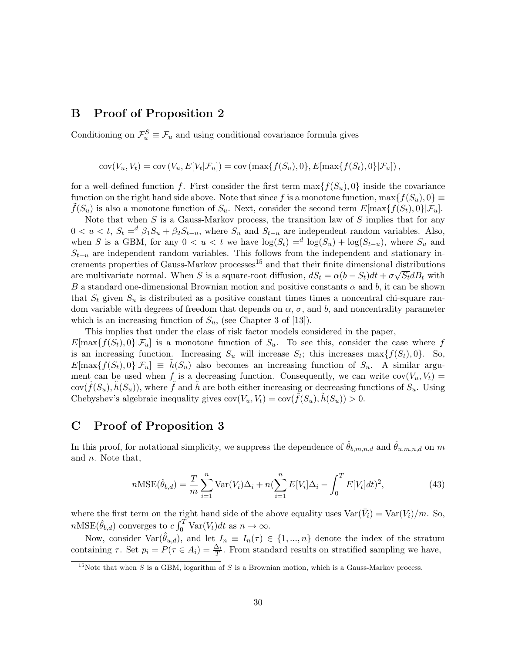### B Proof of Proposition 2

Conditioning on  $\mathcal{F}_{u}^{S} \equiv \mathcal{F}_{u}$  and using conditional covariance formula gives

 $cov(V_u, V_t) = cov(V_u, E[V_t | \mathcal{F}_u]) = cov(\max\{f(S_u), 0\}, E[\max\{f(S_t), 0\} | \mathcal{F}_u])$ ,

for a well-defined function f. First consider the first term  $\max\{f(S_u), 0\}$  inside the covariance function on the right hand side above. Note that since f is a monotone function,  $\max\{f(S_u), 0\} \equiv$  $f(S_u)$  is also a monotone function of  $S_u$ . Next, consider the second term  $E[\max\{f(S_t), 0\}|\mathcal{F}_u]$ .

Note that when  $S$  is a Gauss-Markov process, the transition law of  $S$  implies that for any  $0 < u < t$ ,  $S_t = d \beta_1 S_u + \beta_2 S_{t-u}$ , where  $S_u$  and  $S_{t-u}$  are independent random variables. Also, when S is a GBM, for any  $0 < u < t$  we have  $\log(S_t) = d \log(S_u) + \log(S_{t-u})$ , where  $S_u$  and  $S_{t-u}$  are independent random variables. This follows from the independent and stationary increments properties of Gauss-Markov processes<sup>15</sup> and that their finite dimensional distributions are multivariate normal. When S is a square-root diffusion,  $dS_t = \alpha (b - S_t) dt + \sigma \sqrt{S_t} dB_t$  with B a standard one-dimensional Brownian motion and positive constants  $\alpha$  and  $b$ , it can be shown that  $S_t$  given  $S_u$  is distributed as a positive constant times times a noncentral chi-square random variable with degrees of freedom that depends on  $\alpha$ ,  $\sigma$ , and b, and noncentrality parameter which is an increasing function of  $S_u$ , (see Chapter 3 of [13]).

This implies that under the class of risk factor models considered in the paper,  $E[\max\{f(S_t), 0\} | \mathcal{F}_u]$  is a monotone function of  $S_u$ . To see this, consider the case where f is an increasing function. Increasing  $S_u$  will increase  $S_t$ ; this increases max $\{f(S_t), 0\}$ . So,  $E[\max\{f(S_t), 0\} | \mathcal{F}_u] \equiv h(S_u)$  also becomes an increasing function of  $S_u$ . A similar argument can be used when f is a decreasing function. Consequently, we can write  $cov(V_u, V_t)$  $cov(\tilde{f}(S_u), \tilde{h}(S_u))$ , where  $\tilde{f}$  and  $\tilde{h}$  are both either increasing or decreasing functions of  $S_u$ . Using Chebyshev's algebraic inequality gives  $cov(V_u, V_t) = cov(f(S_u), h(S_u)) > 0$ .

### C Proof of Proposition 3

In this proof, for notational simplicity, we suppress the dependence of  $\hat{\theta}_{b,m,n,d}$  and  $\hat{\theta}_{u,m,n,d}$  on m and n. Note that,

$$
n\text{MSE}(\hat{\theta}_{b,d}) = \frac{T}{m} \sum_{i=1}^{n} \text{Var}(V_i) \Delta_i + n(\sum_{i=1}^{n} E[V_i] \Delta_i - \int_0^T E[V_t] dt)^2,
$$
\n(43)

where the first term on the right hand side of the above equality uses  $Var(\bar{V}_i) = Var(V_i)/m$ . So,  $n\text{MSE}(\hat{\theta}_{b,d})$  converges to  $c \int_0^T \text{Var}(V_t) dt$  as  $n \to \infty$ .

Now, consider  $\text{Var}(\hat{\theta}_{u,d})$ , and let  $I_n \equiv I_n(\tau) \in \{1,...,n\}$  denote the index of the stratum containing  $\tau$ . Set  $p_i = P(\tau \in A_i) = \frac{\Delta_i}{T}$ . From standard results on stratified sampling we have,

<sup>&</sup>lt;sup>15</sup>Note that when S is a GBM, logarithm of S is a Brownian motion, which is a Gauss-Markov process.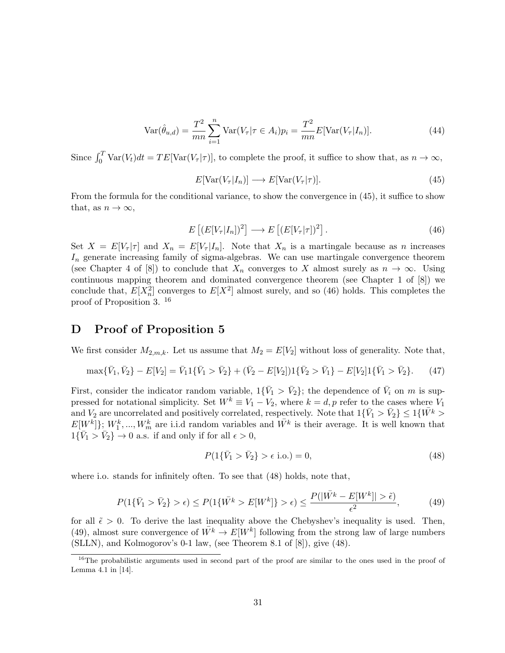$$
Var(\hat{\theta}_{u,d}) = \frac{T^2}{mn} \sum_{i=1}^{n} Var(V_{\tau} | \tau \in A_i) p_i = \frac{T^2}{mn} E[Var(V_{\tau} | I_n)].
$$
\n(44)

Since  $\int_0^T \text{Var}(V_t) dt = TE[\text{Var}(V_\tau | \tau)],$  to complete the proof, it suffice to show that, as  $n \to \infty$ ,

$$
E[\text{Var}(V_{\tau}|I_n)] \longrightarrow E[\text{Var}(V_{\tau}|\tau)]. \tag{45}
$$

From the formula for the conditional variance, to show the convergence in (45), it suffice to show that, as  $n \to \infty$ ,

$$
E\left[ (E[V_{\tau}|I_n])^2 \right] \longrightarrow E\left[ (E[V_{\tau}|\tau])^2 \right]. \tag{46}
$$

Set  $X = E[V_\tau | \tau]$  and  $X_n = E[V_\tau | I_n]$ . Note that  $X_n$  is a martingale because as n increases  $I_n$  generate increasing family of sigma-algebras. We can use martingale convergence theorem (see Chapter 4 of [8]) to conclude that  $X_n$  converges to X almost surely as  $n \to \infty$ . Using continuous mapping theorem and dominated convergence theorem (see Chapter 1 of [8]) we conclude that,  $E[X_n^2]$  converges to  $E[X^2]$  almost surely, and so (46) holds. This completes the proof of Proposition 3. <sup>16</sup>

### D Proof of Proposition 5

We first consider  $M_{2,m,k}$ . Let us assume that  $M_2 = E[V_2]$  without loss of generality. Note that,

$$
\max{\{\bar{V}_1, \bar{V}_2\}} - E[V_2] = \bar{V}_1 \{ \bar{V}_1 > \bar{V}_2 \} + (\bar{V}_2 - E[V_2]) \{ \bar{V}_2 > \bar{V}_1 \} - E[V_2] \{ \bar{V}_1 > \bar{V}_2 \}. \tag{47}
$$

First, consider the indicator random variable,  $1\{\bar{V}_1 > \bar{V}_2\}$ ; the dependence of  $\bar{V}_i$  on m is suppressed for notational simplicity. Set  $W^k \equiv V_1 - V_2$ , where  $k = d$ , p refer to the cases where  $V_1$ and  $V_2$  are uncorrelated and positively correlated, respectively. Note that  $1\{\bar{V}_1 > \bar{V}_2\} \leq 1\{\bar{W}^k>$  $E[W^k]$ ;  $W_1^k, ..., W_m^k$  are i.i.d random variables and  $W^k$  is their average. It is well known that  $1\{\bar{V}_1 > \bar{V}_2\} \rightarrow 0$  a.s. if and only if for all  $\epsilon > 0$ ,

$$
P(1\{\bar{V}_1 > \bar{V}_2\} > \epsilon \text{ i.o.}) = 0,
$$
\n(48)

where i.o. stands for infinitely often. To see that (48) holds, note that,

$$
P(1\{\bar{V}_1 > \bar{V}_2\} > \epsilon) \le P(1\{\bar{W}^k > E[W^k]\} > \epsilon) \le \frac{P(|\bar{W}^k - E[W^k]| > \tilde{\epsilon})}{\epsilon^2},\tag{49}
$$

for all  $\tilde{\epsilon} > 0$ . To derive the last inequality above the Chebyshev's inequality is used. Then, (49), almost sure convergence of  $\overline{W}^k \to E[W^k]$  following from the strong law of large numbers (SLLN), and Kolmogorov's 0-1 law, (see Theorem 8.1 of [8]), give (48).

<sup>&</sup>lt;sup>16</sup>The probabilistic arguments used in second part of the proof are similar to the ones used in the proof of Lemma 4.1 in [14].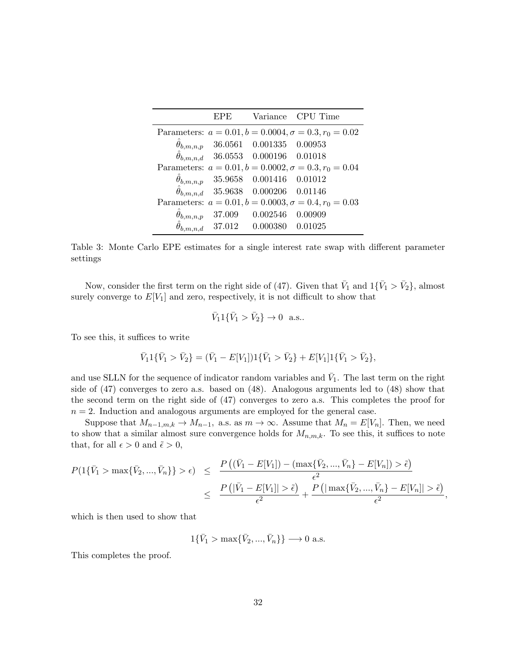| EPE |                                                   | Variance CPU Time                                            |
|-----|---------------------------------------------------|--------------------------------------------------------------|
|     |                                                   | Parameters: $a = 0.01, b = 0.0004, \sigma = 0.3, r_0 = 0.02$ |
|     | $\hat{\theta}_{b,m,n,p}$ 36.0561 0.001335 0.00953 |                                                              |
|     | $\hat{\theta}_{b,m,n,d}$ 36.0553 0.000196 0.01018 |                                                              |
|     |                                                   | Parameters: $a = 0.01, b = 0.0002, \sigma = 0.3, r_0 = 0.04$ |
|     | $\hat{\theta}_{b,m,n,p}$ 35.9658 0.001416 0.01012 |                                                              |
|     | $\hat{\theta}_{b,m,n,d}$ 35.9638 0.000206 0.01146 |                                                              |
|     |                                                   | Parameters: $a = 0.01, b = 0.0003, \sigma = 0.4, r_0 = 0.03$ |
|     | $\hat{\theta}_{b,m,n,p}$ 37.009 0.002546 0.00909  |                                                              |
|     | $\hat{\theta}_{b,m,n,d}$ 37.012 0.000380 0.01025  |                                                              |

Table 3: Monte Carlo EPE estimates for a single interest rate swap with different parameter settings

Now, consider the first term on the right side of (47). Given that  $\bar{V}_1$  and  $1\{\bar{V}_1 > \bar{V}_2\}$ , almost surely converge to  $E[V_1]$  and zero, respectively, it is not difficult to show that

$$
\bar{V}_1 1 {\bar{V}_1 > \bar{V}_2} \to 0
$$
 a.s..

To see this, it suffices to write

$$
\bar{V}_1 1\{\bar{V}_1 > \bar{V}_2\} = (\bar{V}_1 - E[V_1])1\{\bar{V}_1 > \bar{V}_2\} + E[V_1]1\{\bar{V}_1 > \bar{V}_2\},\
$$

and use SLLN for the sequence of indicator random variables and  $\bar{V}_1$ . The last term on the right side of (47) converges to zero a.s. based on (48). Analogous arguments led to (48) show that the second term on the right side of (47) converges to zero a.s. This completes the proof for  $n = 2$ . Induction and analogous arguments are employed for the general case.

Suppose that  $M_{n-1,m,k} \to M_{n-1}$ , a.s. as  $m \to \infty$ . Assume that  $M_n = E[V_n]$ . Then, we need to show that a similar almost sure convergence holds for  $M_{n,m,k}$ . To see this, it suffices to note that, for all  $\epsilon > 0$  and  $\tilde{\epsilon} > 0$ ,

$$
P(1{\{\bar{V}_1 > \max{\{\bar{V}_2, ..., \bar{V}_n\}}} > \epsilon) \leq \frac{P((\bar{V}_1 - E[V_1]) - (\max{\{\bar{V}_2, ..., \bar{V}_n\}} - E[V_n]) > \tilde{\epsilon})}{\epsilon^2}
$$
  
\$\leq\$ 
$$
\frac{P(|\bar{V}_1 - E[V_1]| > \tilde{\epsilon})}{\epsilon^2} + \frac{P(|\max{\{\bar{V}_2, ..., \bar{V}_n\}} - E[V_n]| > \tilde{\epsilon})}{\epsilon^2},
$$

which is then used to show that

$$
1\{\bar{V}_1 > \max\{\bar{V}_2, ..., \bar{V}_n\}\} \longrightarrow 0
$$
 a.s.

This completes the proof.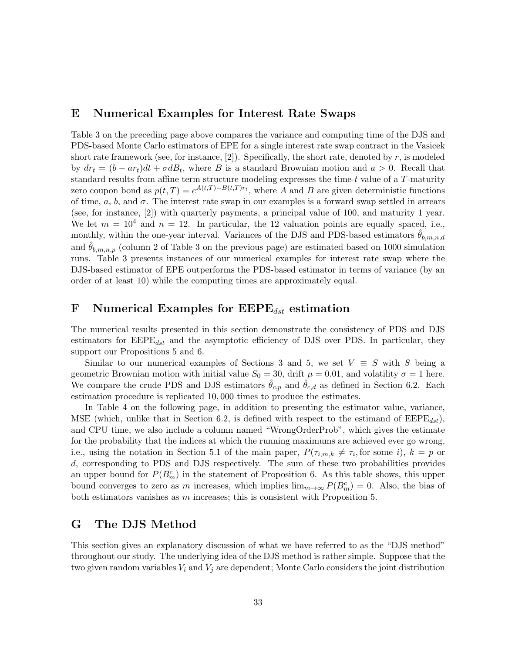### E Numerical Examples for Interest Rate Swaps

Table 3 on the preceding page above compares the variance and computing time of the DJS and PDS-based Monte Carlo estimators of EPE for a single interest rate swap contract in the Vasicek short rate framework (see, for instance, [2]). Specifically, the short rate, denoted by  $r$ , is modeled by  $dr_t = (b - ar_t)dt + \sigma dB_t$ , where B is a standard Brownian motion and  $a > 0$ . Recall that standard results from affine term structure modeling expresses the time- $t$  value of a  $T$ -maturity zero coupon bond as  $p(t,T) = e^{A(t,T)-B(t,T)r_t}$ , where A and B are given deterministic functions of time,  $a, b$ , and  $\sigma$ . The interest rate swap in our examples is a forward swap settled in arrears (see, for instance, [2]) with quarterly payments, a principal value of 100, and maturity 1 year. We let  $m = 10^4$  and  $n = 12$ . In particular, the 12 valuation points are equally spaced, i.e., monthly, within the one-year interval. Variances of the DJS and PDS-based estimators  $\theta_{b,m,n,d}$ and  $\theta_{b,m,n,p}$  (column 2 of Table 3 on the previous page) are estimated based on 1000 simulation runs. Table 3 presents instances of our numerical examples for interest rate swap where the DJS-based estimator of EPE outperforms the PDS-based estimator in terms of variance (by an order of at least 10) while the computing times are approximately equal.

### F Numerical Examples for  $\text{EEPE}_{dst}$  estimation

The numerical results presented in this section demonstrate the consistency of PDS and DJS estimators for  $\text{EEPE}_{dst}$  and the asymptotic efficiency of DJS over PDS. In particular, they support our Propositions 5 and 6.

Similar to our numerical examples of Sections 3 and 5, we set  $V \equiv S$  with S being a geometric Brownian motion with initial value  $S_0 = 30$ , drift  $\mu = 0.01$ , and volatility  $\sigma = 1$  here. We compare the crude PDS and DJS estimators  $\theta_{c,p}$  and  $\theta_{c,d}$  as defined in Section 6.2. Each estimation procedure is replicated 10, 000 times to produce the estimates.

In Table 4 on the following page, in addition to presenting the estimator value, variance, MSE (which, unlike that in Section 6.2, is defined with respect to the estimand of  $EEPE_{dst}$ ), and CPU time, we also include a column named "WrongOrderProb", which gives the estimate for the probability that the indices at which the running maximums are achieved ever go wrong, i.e., using the notation in Section 5.1 of the main paper,  $P(\tau_{i,m,k} \neq \tau_i)$ , for some i,  $k = p$  or d, corresponding to PDS and DJS respectively. The sum of these two probabilities provides an upper bound for  $P(B_m^c)$  in the statement of Proposition 6. As this table shows, this upper bound converges to zero as m increases, which implies  $\lim_{m\to\infty} P(B_m^c) = 0$ . Also, the bias of both estimators vanishes as  $m$  increases; this is consistent with Proposition 5.

### G The DJS Method

This section gives an explanatory discussion of what we have referred to as the "DJS method" throughout our study. The underlying idea of the DJS method is rather simple. Suppose that the two given random variables  $V_i$  and  $V_j$  are dependent; Monte Carlo considers the joint distribution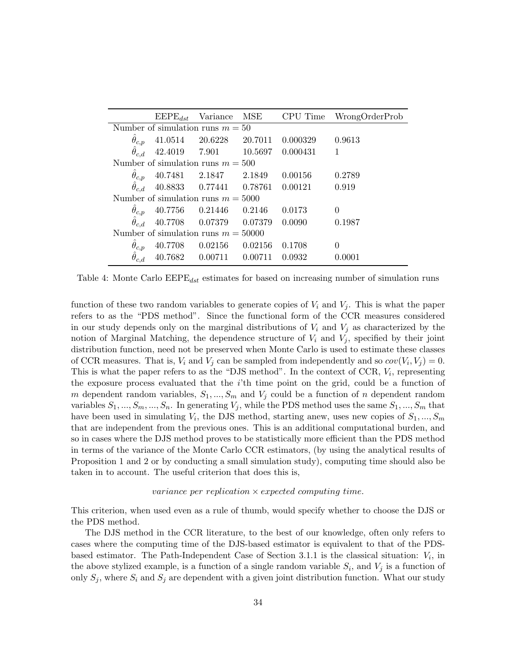|                                       |  | $\text{EEPE}_{dst}$ Variance MSE           |  | CPU Time   | WrongOrderProb |
|---------------------------------------|--|--------------------------------------------|--|------------|----------------|
|                                       |  | Number of simulation runs $m = 50$         |  |            |                |
| $\hat{\theta}_{c,p}$                  |  | 41.0514 20.6228 20.7011                    |  | 0.000329   | 0.9613         |
|                                       |  | $\hat{\theta}_{c,d}$ 42.4019 7.901 10.5697 |  | 0.000431 1 |                |
|                                       |  | Number of simulation runs $m = 500$        |  |            |                |
| $\theta_{c,p}$                        |  | 40.7481 2.1847 2.1849                      |  | 0.00156    | 0.2789         |
| $\hat{\theta}_{c.d}$                  |  | 40.8833  0.77441  0.78761                  |  | 0.00121    | 0.919          |
| Number of simulation runs $m = 5000$  |  |                                            |  |            |                |
| $\ddot{\theta}_{c,p}$                 |  | 40.7756  0.21446  0.2146                   |  | 0.0173     | $\theta$       |
| $\hat{\theta}_{c,d}$                  |  | 40.7708  0.07379  0.07379                  |  | 0.0090     | 0.1987         |
| Number of simulation runs $m = 50000$ |  |                                            |  |            |                |
| $\theta_{c,p}$                        |  | 40.7708  0.02156  0.02156                  |  | 0.1708     | $\theta$       |
|                                       |  | $40.7682 \qquad 0.00711 \qquad 0.00711$    |  | 0.0932     | 0.0001         |

Table 4: Monte Carlo  $\text{EPE}_{dst}$  estimates for based on increasing number of simulation runs

function of these two random variables to generate copies of  $V_i$  and  $V_j$ . This is what the paper refers to as the "PDS method". Since the functional form of the CCR measures considered in our study depends only on the marginal distributions of  $V_i$  and  $V_j$  as characterized by the notion of Marginal Matching, the dependence structure of  $V_i$  and  $V_j$ , specified by their joint distribution function, need not be preserved when Monte Carlo is used to estimate these classes of CCR measures. That is,  $V_i$  and  $V_j$  can be sampled from independently and so  $cov(V_i, V_j) = 0$ . This is what the paper refers to as the "DJS method". In the context of CCR,  $V_i$ , representing the exposure process evaluated that the  $i$ 'th time point on the grid, could be a function of m dependent random variables,  $S_1, ..., S_m$  and  $V_j$  could be a function of n dependent random variables  $S_1, ..., S_m, ..., S_n$ . In generating  $V_j$ , while the PDS method uses the same  $S_1, ..., S_m$  that have been used in simulating  $V_i$ , the DJS method, starting anew, uses new copies of  $S_1, ..., S_m$ that are independent from the previous ones. This is an additional computational burden, and so in cases where the DJS method proves to be statistically more efficient than the PDS method in terms of the variance of the Monte Carlo CCR estimators, (by using the analytical results of Proposition 1 and 2 or by conducting a small simulation study), computing time should also be taken in to account. The useful criterion that does this is,

#### variance per replication  $\times$  expected computing time.

This criterion, when used even as a rule of thumb, would specify whether to choose the DJS or the PDS method.

The DJS method in the CCR literature, to the best of our knowledge, often only refers to cases where the computing time of the DJS-based estimator is equivalent to that of the PDSbased estimator. The Path-Independent Case of Section 3.1.1 is the classical situation:  $V_i$ , in the above stylized example, is a function of a single random variable  $S_i$ , and  $V_j$  is a function of only  $S_j$ , where  $S_i$  and  $S_j$  are dependent with a given joint distribution function. What our study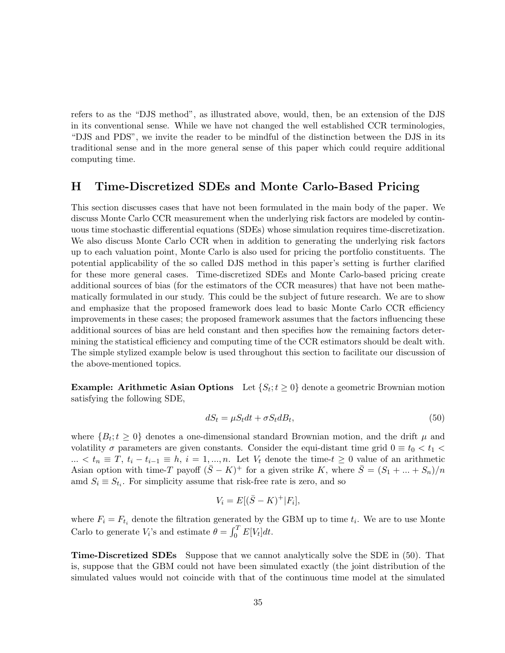refers to as the "DJS method", as illustrated above, would, then, be an extension of the DJS in its conventional sense. While we have not changed the well established CCR terminologies, "DJS and PDS", we invite the reader to be mindful of the distinction between the DJS in its traditional sense and in the more general sense of this paper which could require additional computing time.

### H Time-Discretized SDEs and Monte Carlo-Based Pricing

This section discusses cases that have not been formulated in the main body of the paper. We discuss Monte Carlo CCR measurement when the underlying risk factors are modeled by continuous time stochastic differential equations (SDEs) whose simulation requires time-discretization. We also discuss Monte Carlo CCR when in addition to generating the underlying risk factors up to each valuation point, Monte Carlo is also used for pricing the portfolio constituents. The potential applicability of the so called DJS method in this paper's setting is further clarified for these more general cases. Time-discretized SDEs and Monte Carlo-based pricing create additional sources of bias (for the estimators of the CCR measures) that have not been mathematically formulated in our study. This could be the subject of future research. We are to show and emphasize that the proposed framework does lead to basic Monte Carlo CCR efficiency improvements in these cases; the proposed framework assumes that the factors influencing these additional sources of bias are held constant and then specifies how the remaining factors determining the statistical efficiency and computing time of the CCR estimators should be dealt with. The simple stylized example below is used throughout this section to facilitate our discussion of the above-mentioned topics.

**Example: Arithmetic Asian Options** Let  $\{S_t; t \geq 0\}$  denote a geometric Brownian motion satisfying the following SDE,

$$
dS_t = \mu S_t dt + \sigma S_t dB_t, \tag{50}
$$

where  ${B_t; t \geq 0}$  denotes a one-dimensional standard Brownian motion, and the drift  $\mu$  and volatility  $\sigma$  parameters are given constants. Consider the equi-distant time grid  $0 \equiv t_0 < t_1$ ... <  $t_n \equiv T$ ,  $t_i - t_{i-1} \equiv h$ ,  $i = 1, ..., n$ . Let  $V_t$  denote the time- $t ≥ 0$  value of an arithmetic Asian option with time-T payoff  $(\bar{S} - K)^+$  for a given strike K, where  $\bar{S} = (S_1 + ... + S_n)/n$ amd  $S_i \equiv S_{t_i}$ . For simplicity assume that risk-free rate is zero, and so

$$
V_i = E[(\bar{S} - K)^+|F_i],
$$

where  $F_i = F_{t_i}$  denote the filtration generated by the GBM up to time  $t_i$ . We are to use Monte Carlo to generate  $V_i$ 's and estimate  $\theta = \int_0^T E[V_t] dt$ .

Time-Discretized SDEs Suppose that we cannot analytically solve the SDE in (50). That is, suppose that the GBM could not have been simulated exactly (the joint distribution of the simulated values would not coincide with that of the continuous time model at the simulated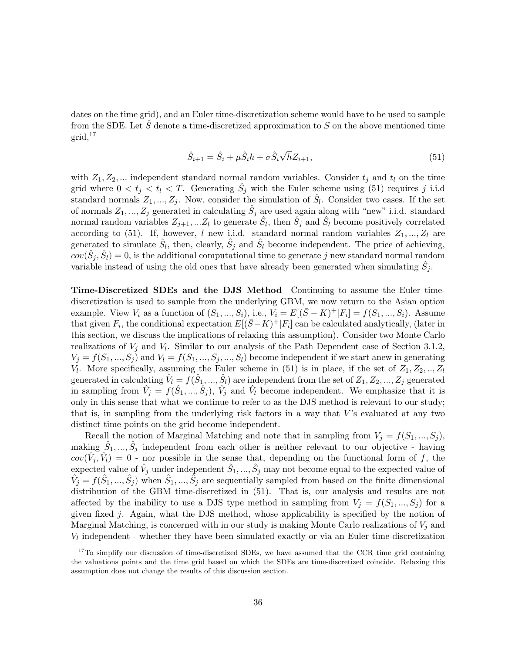dates on the time grid), and an Euler time-discretization scheme would have to be used to sample from the SDE. Let  $\hat{S}$  denote a time-discretized approximation to S on the above mentioned time  $grid<sup>17</sup>$ 

$$
\hat{S}_{i+1} = \hat{S}_i + \mu \hat{S}_i h + \sigma \hat{S}_i \sqrt{h} Z_{i+1},
$$
\n(51)

with  $Z_1, Z_2, \dots$  independent standard normal random variables. Consider  $t_j$  and  $t_l$  on the time grid where  $0 < t_j < t_l < T$ . Generating  $\hat{S}_j$  with the Euler scheme using (51) requires j i.i.d standard normals  $Z_1, ..., Z_j$ . Now, consider the simulation of  $\hat{S}_l$ . Consider two cases. If the set of normals  $Z_1, ..., Z_j$  generated in calculating  $\hat{S}_j$  are used again along with "new" i.i.d. standard normal random variables  $Z_{j+1}, ... Z_l$  to generate  $\hat{S}_l$ , then  $\hat{S}_j$  and  $\hat{S}_l$  become positively correlated according to (51). If, however, l new i.i.d. standard normal random variables  $Z_1, ..., Z_l$  are generated to simulate  $\hat{S}_l$ , then, clearly,  $\hat{S}_j$  and  $\hat{S}_l$  become independent. The price of achieving,  $cov(\hat{S}_j, \hat{S}_l) = 0$ , is the additional computational time to generate j new standard normal random variable instead of using the old ones that have already been generated when simulating  $\hat{S}_j$ .

Time-Discretized SDEs and the DJS Method Continuing to assume the Euler timediscretization is used to sample from the underlying GBM, we now return to the Asian option example. View  $V_i$  as a function of  $(S_1, ..., S_i)$ , i.e.,  $V_i = E[(\bar{S} - K)^+ | F_i] = f(S_1, ..., S_i)$ . Assume that given  $F_i$ , the conditional expectation  $E[(\bar{S}-K)^+|F_i]$  can be calculated analytically, (later in this section, we discuss the implications of relaxing this assumption). Consider two Monte Carlo realizations of  $V_j$  and  $V_l$ . Similar to our analysis of the Path Dependent case of Section 3.1.2,  $V_j = f(S_1, ..., S_j)$  and  $V_l = f(S_1, ..., S_j, ..., S_l)$  become independent if we start anew in generating V<sub>l</sub>. More specifically, assuming the Euler scheme in (51) is in place, if the set of  $Z_1, Z_2, ..., Z_l$ generated in calculating  $\hat{V}_l = \overline{f}(\hat{S}_1, ..., \hat{S}_l)$  are independent from the set of  $Z_1, Z_2, ..., Z_j$  generated in sampling from  $\hat{V}_j = f(\hat{S}_1, ..., \hat{S}_j)$ ,  $\hat{V}_j$  and  $\hat{V}_l$  become independent. We emphasize that it is only in this sense that what we continue to refer to as the DJS method is relevant to our study; that is, in sampling from the underlying risk factors in a way that  $V$ 's evaluated at any two distinct time points on the grid become independent.

Recall the notion of Marginal Matching and note that in sampling from  $V_j = f(S_1, ..., S_j)$ , making  $\hat{S}_1, ..., \hat{S}_j$  independent from each other is neither relevant to our objective - having  $cov(\hat{V}_j, \hat{V}_l) = 0$  - nor possible in the sense that, depending on the functional form of f, the expected value of  $\hat{V}_j$  under independent  $\hat{S}_1, ..., \hat{S}_j$  may not become equal to the expected value of  $\hat{V}_j = f(\hat{S}_1, ..., \hat{S}_j)$  when  $\hat{S}_1, ..., \hat{S}_j$  are sequentially sampled from based on the finite dimensional distribution of the GBM time-discretized in (51). That is, our analysis and results are not affected by the inability to use a DJS type method in sampling from  $V_j = f(S_1, ..., S_j)$  for a given fixed  $j$ . Again, what the DJS method, whose applicability is specified by the notion of Marginal Matching, is concerned with in our study is making Monte Carlo realizations of  $V_j$  and  $V_l$  independent - whether they have been simulated exactly or via an Euler time-discretization

<sup>&</sup>lt;sup>17</sup>To simplify our discussion of time-discretized SDEs, we have assumed that the CCR time grid containing the valuations points and the time grid based on which the SDEs are time-discretized coincide. Relaxing this assumption does not change the results of this discussion section.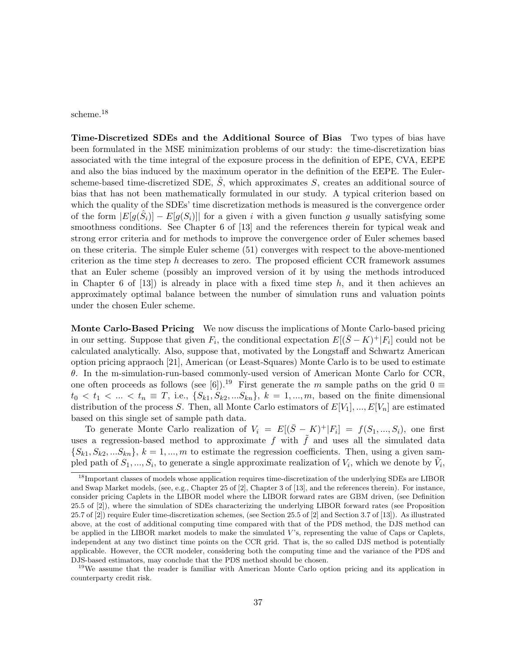scheme.<sup>18</sup>

Time-Discretized SDEs and the Additional Source of Bias Two types of bias have been formulated in the MSE minimization problems of our study: the time-discretization bias associated with the time integral of the exposure process in the definition of EPE, CVA, EEPE and also the bias induced by the maximum operator in the definition of the EEPE. The Eulerscheme-based time-discretized SDE,  $\hat{S}$ , which approximates S, creates an additional source of bias that has not been mathematically formulated in our study. A typical criterion based on which the quality of the SDEs' time discretization methods is measured is the convergence order of the form  $|E[g(\hat{S}_i)] - E[g(S_i)]|$  for a given i with a given function g usually satisfying some smoothness conditions. See Chapter 6 of [13] and the references therein for typical weak and strong error criteria and for methods to improve the convergence order of Euler schemes based on these criteria. The simple Euler scheme (51) converges with respect to the above-mentioned criterion as the time step h decreases to zero. The proposed efficient CCR framework assumes that an Euler scheme (possibly an improved version of it by using the methods introduced in Chapter 6 of  $[13]$  is already in place with a fixed time step h, and it then achieves an approximately optimal balance between the number of simulation runs and valuation points under the chosen Euler scheme.

Monte Carlo-Based Pricing We now discuss the implications of Monte Carlo-based pricing in our setting. Suppose that given  $F_i$ , the conditional expectation  $E[(\bar{S}-K)^+|F_i]$  could not be calculated analytically. Also, suppose that, motivated by the Longstaff and Schwartz American option pricing appraoch [21], American (or Least-Squares) Monte Carlo is to be used to estimate θ. In the m-simulation-run-based commonly-used version of American Monte Carlo for CCR, one often proceeds as follows (see [6]).<sup>19</sup> First generate the m sample paths on the grid  $0 \equiv$  $t_0 < t_1 < \ldots < t_n \equiv T$ , i.e.,  $\{S_{k1}, S_{k2},...S_{kn}\}, k = 1,...,m$ , based on the finite dimensional distribution of the process S. Then, all Monte Carlo estimators of  $E[V_1], ..., E[V_n]$  are estimated based on this single set of sample path data.

To generate Monte Carlo realization of  $V_i = E[(\bar{S} - K)^+|F_i] = f(S_1, ..., S_i)$ , one first uses a regression-based method to approximate f with  $\tilde{f}$  and uses all the simulated data  $\{S_{k1}, S_{k2},...S_{kn}\}, k = 1,...,m$  to estimate the regression coefficients. Then, using a given sampled path of  $S_1, ..., S_i$ , to generate a single approximate realization of  $V_i$ , which we denote by  $\tilde{V}_i$ ,

<sup>19</sup>We assume that the reader is familiar with American Monte Carlo option pricing and its application in counterparty credit risk.

<sup>&</sup>lt;sup>18</sup>Important classes of models whose application requires time-discretization of the underlying SDEs are LIBOR and Swap Market models, (see, e.g., Chapter 25 of [2], Chapter 3 of [13], and the references therein). For instance, consider pricing Caplets in the LIBOR model where the LIBOR forward rates are GBM driven, (see Definition 25.5 of [2]), where the simulation of SDEs characterizing the underlying LIBOR forward rates (see Proposition 25.7 of [2]) require Euler time-discretization schemes, (see Section 25.5 of [2] and Section 3.7 of [13]). As illustrated above, at the cost of additional computing time compared with that of the PDS method, the DJS method can be applied in the LIBOR market models to make the simulated  $V$ 's, representing the value of Caps or Caplets, independent at any two distinct time points on the CCR grid. That is, the so called DJS method is potentially applicable. However, the CCR modeler, considering both the computing time and the variance of the PDS and DJS-based estimators, may conclude that the PDS method should be chosen.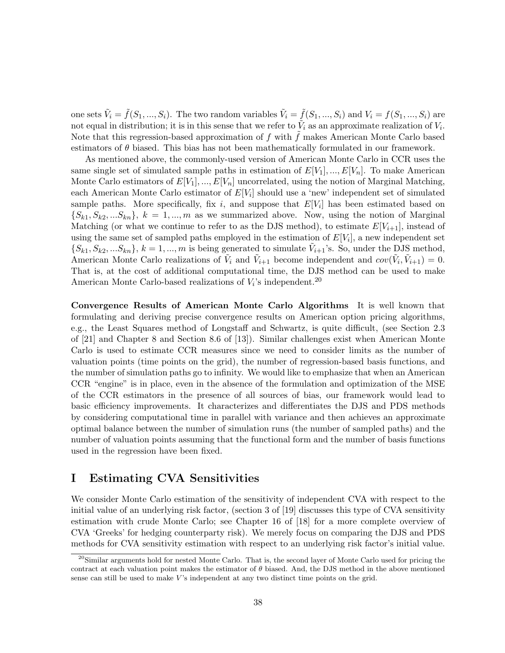one sets  $\tilde{V}_i = \tilde{f}(S_1, ..., S_i)$ . The two random variables  $\tilde{V}_i = \tilde{f}(S_1, ..., S_i)$  and  $V_i = f(S_1, ..., S_i)$  are not equal in distribution; it is in this sense that we refer to  $\tilde{V}_i$  as an approximate realization of  $V_i$ . Note that this regression-based approximation of  $f$  with  $f$  makes American Monte Carlo based estimators of  $\theta$  biased. This bias has not been mathematically formulated in our framework.

As mentioned above, the commonly-used version of American Monte Carlo in CCR uses the same single set of simulated sample paths in estimation of  $E[V_1], ..., E[V_n]$ . To make American Monte Carlo estimators of  $E[V_1],..., E[V_n]$  uncorrelated, using the notion of Marginal Matching, each American Monte Carlo estimator of  $E[V_i]$  should use a 'new' independent set of simulated sample paths. More specifically, fix i, and suppose that  $E[V_i]$  has been estimated based on  $\{S_{k1}, S_{k2},...S_{kn}\}, k = 1,...,m$  as we summarized above. Now, using the notion of Marginal Matching (or what we continue to refer to as the DJS method), to estimate  $E[V_{i+1}]$ , instead of using the same set of sampled paths employed in the estimation of  $E[V_i]$ , a new independent set  $\{S_{k1}, S_{k2},...S_{kn}\}, k = 1,...,m$  is being generated to simulate  $V_{i+1}$ 's. So, under the DJS method, American Monte Carlo realizations of  $V_i$  and  $V_{i+1}$  become independent and  $cov(V_i, V_{i+1}) = 0$ . That is, at the cost of additional computational time, the DJS method can be used to make American Monte Carlo-based realizations of  $V_i$ 's independent.<sup>20</sup>

Convergence Results of American Monte Carlo Algorithms It is well known that formulating and deriving precise convergence results on American option pricing algorithms, e.g., the Least Squares method of Longstaff and Schwartz, is quite difficult, (see Section 2.3 of [21] and Chapter 8 and Section 8.6 of [13]). Similar challenges exist when American Monte Carlo is used to estimate CCR measures since we need to consider limits as the number of valuation points (time points on the grid), the number of regression-based basis functions, and the number of simulation paths go to infinity. We would like to emphasize that when an American CCR "engine" is in place, even in the absence of the formulation and optimization of the MSE of the CCR estimators in the presence of all sources of bias, our framework would lead to basic efficiency improvements. It characterizes and differentiates the DJS and PDS methods by considering computational time in parallel with variance and then achieves an approximate optimal balance between the number of simulation runs (the number of sampled paths) and the number of valuation points assuming that the functional form and the number of basis functions used in the regression have been fixed.

### I Estimating CVA Sensitivities

We consider Monte Carlo estimation of the sensitivity of independent CVA with respect to the initial value of an underlying risk factor, (section 3 of [19] discusses this type of CVA sensitivity estimation with crude Monte Carlo; see Chapter 16 of [18] for a more complete overview of CVA 'Greeks' for hedging counterparty risk). We merely focus on comparing the DJS and PDS methods for CVA sensitivity estimation with respect to an underlying risk factor's initial value.

 $^{20}$ Similar arguments hold for nested Monte Carlo. That is, the second layer of Monte Carlo used for pricing the contract at each valuation point makes the estimator of  $\theta$  biased. And, the DJS method in the above mentioned sense can still be used to make  $V$ 's independent at any two distinct time points on the grid.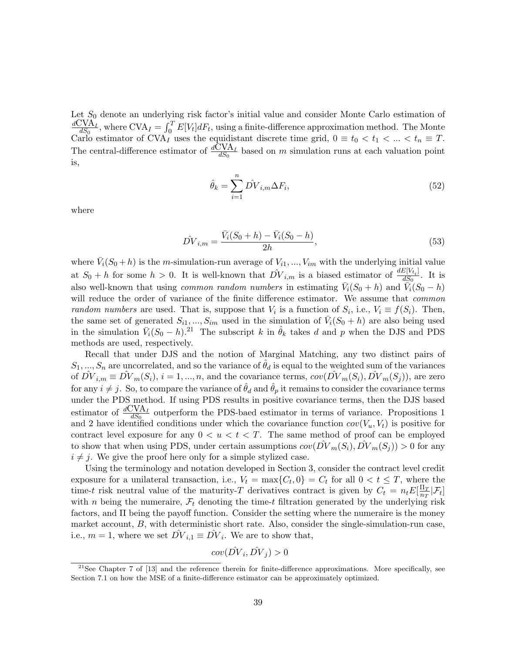Let  $S_0$  denote an underlying risk factor's initial value and consider Monte Carlo estimation of  $\mathrm{dCVA}_{I}$  $\frac{N}{dS_0}$ , where  $\text{CVA}_I = \int_0^T E[V_t] dF_t$ , using a finite-difference approximation method. The Monte Carlo estimator of CVA<sub>I</sub> uses the equidistant discrete time grid,  $0 \equiv t_0 < t_1 < ... < t_n \equiv T$ . The central-difference estimator of  $\frac{d\tilde{C}VA_{I}}{dS_{0}}$  based on m simulation runs at each valuation point is,

$$
\hat{\theta}_k = \sum_{i=1}^n \hat{DV}_{i,m} \Delta F_i,\tag{52}
$$

where

$$
\hat{DV}_{i,m} = \frac{\bar{V}_i(S_0 + h) - \bar{V}_i(S_0 - h)}{2h},\tag{53}
$$

where  $\bar{V}_i(S_0 + h)$  is the m-simulation-run average of  $V_{i1}, ..., V_{im}$  with the underlying initial value at  $S_0 + h$  for some  $h > 0$ . It is well-known that  $\hat{DV}_{i,m}$  is a biased estimator of  $\frac{dE[V_{t_i}]}{dS_0}$  $\frac{dS_0}{dS_0}$ . It is also well-known that using *common random numbers* in estimating  $\bar{V}_i(S_0 + h)$  and  $\bar{V}_i(S_0 - h)$ will reduce the order of variance of the finite difference estimator. We assume that common random numbers are used. That is, suppose that  $V_i$  is a function of  $S_i$ , i.e.,  $V_i \equiv f(S_i)$ . Then, the same set of generated  $S_{i1},...,S_{im}$  used in the simulation of  $\bar{V}_i(S_0+h)$  are also being used in the simulation  $\bar{V}_i(S_0 - h)^{21}$ . The subscript k in  $\hat{\theta}_k$  takes d and p when the DJS and PDS methods are used, respectively.

Recall that under DJS and the notion of Marginal Matching, any two distinct pairs of  $S_1, ..., S_n$  are uncorrelated, and so the variance of  $\theta_d$  is equal to the weighted sum of the variances of  $\hat{DV}_{i,m} \equiv \hat{DV}_m(S_i)$ ,  $i = 1, ..., n$ , and the covariance terms,  $cov(\hat{DV}_m(S_i), \hat{DV}_m(S_j))$ , are zero for any  $i \neq j$ . So, to compare the variance of  $\hat{\theta}_d$  and  $\hat{\theta}_p$  it remains to consider the covariance terms under the PDS method. If using PDS results in positive covariance terms, then the DJS based estimator of  $\frac{dCVA_I}{dS_0}$  outperform the PDS-baed estimator in terms of variance. Propositions 1 and 2 have identified conditions under which the covariance function  $cov(V_u, V_t)$  is positive for contract level exposure for any  $0 < u < t < T$ . The same method of proof can be employed to show that when using PDS, under certain assumptions  $cov(DV_m(S_i), DV_m(S_j)) > 0$  for any  $i \neq j$ . We give the proof here only for a simple stylized case.

Using the terminology and notation developed in Section 3, consider the contract level credit exposure for a unilateral transaction, i.e.,  $V_t = \max\{C_t, 0\} = C_t$  for all  $0 < t \leq T$ , where the time-t risk neutral value of the maturity-T derivatives contract is given by  $C_t = n_t E[\frac{\Pi_T}{n_T}]$  $\frac{\Pi_T}{n_T}[\mathcal{F}_t]$ with n being the numeraire,  $\mathcal{F}_t$  denoting the time-t filtration generated by the underlying risk factors, and Π being the payoff function. Consider the setting where the numeraire is the money market account,  $B$ , with deterministic short rate. Also, consider the single-simulation-run case, i.e.,  $m = 1$ , where we set  $\hat{DV}_{i,1} \equiv \hat{DV}_i$ . We are to show that,

$$
cov(\hat{DV}_i, \hat{DV}_j) > 0
$$

 $21$ See Chapter 7 of [13] and the reference therein for finite-difference approximations. More specifically, see Section 7.1 on how the MSE of a finite-difference estimator can be approximately optimized.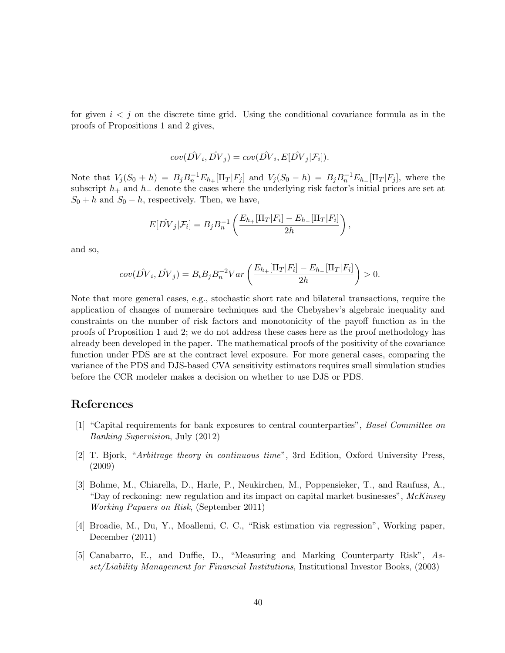for given  $i < j$  on the discrete time grid. Using the conditional covariance formula as in the proofs of Propositions 1 and 2 gives,

$$
cov(\hat{DV}_i, \hat{DV}_j) = cov(\hat{DV}_i, E[\hat{DV}_j | \mathcal{F}_i]).
$$

Note that  $V_j(S_0 + h) = B_j B_n^{-1} E_{h_+}[\Pi_T | F_j]$  and  $V_j(S_0 - h) = B_j B_n^{-1} E_{h_-}[\Pi_T | F_j]$ , where the subscript  $h_+$  and  $h_-$  denote the cases where the underlying risk factor's initial prices are set at  $S_0 + h$  and  $S_0 - h$ , respectively. Then, we have,

$$
E[\hat{DV}_j|\mathcal{F}_i] = B_j B_n^{-1} \left( \frac{E_{h+}[\Pi_T|F_i] - E_{h-}[\Pi_T|F_i]}{2h} \right),
$$

and so,

$$
cov(\hat{DV}_i, \hat{DV}_j) = B_i B_j B_n^{-2} Var\left(\frac{E_{h+}[\Pi_T|F_i] - E_{h-}[\Pi_T|F_i]}{2h}\right) > 0.
$$

Note that more general cases, e.g., stochastic short rate and bilateral transactions, require the application of changes of numeraire techniques and the Chebyshev's algebraic inequality and constraints on the number of risk factors and monotonicity of the payoff function as in the proofs of Proposition 1 and 2; we do not address these cases here as the proof methodology has already been developed in the paper. The mathematical proofs of the positivity of the covariance function under PDS are at the contract level exposure. For more general cases, comparing the variance of the PDS and DJS-based CVA sensitivity estimators requires small simulation studies before the CCR modeler makes a decision on whether to use DJS or PDS.

### References

- [1] "Capital requirements for bank exposures to central counterparties", Basel Committee on Banking Supervision, July (2012)
- [2] T. Bjork, "Arbitrage theory in continuous time", 3rd Edition, Oxford University Press, (2009)
- [3] Bohme, M., Chiarella, D., Harle, P., Neukirchen, M., Poppensieker, T., and Raufuss, A., "Day of reckoning: new regulation and its impact on capital market businesses",  $McKinsey$ Working Papaers on Risk, (September 2011)
- [4] Broadie, M., Du, Y., Moallemi, C. C., "Risk estimation via regression", Working paper, December (2011)
- [5] Canabarro, E., and Duffie, D., "Measuring and Marking Counterparty Risk", Asset/Liability Management for Financial Institutions, Institutional Investor Books, (2003)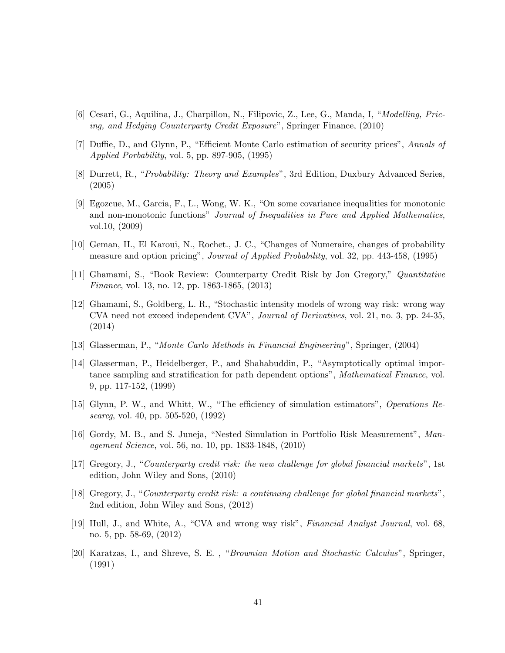- [6] Cesari, G., Aquilina, J., Charpillon, N., Filipovic, Z., Lee, G., Manda, I, "Modelling, Pricing, and Hedging Counterparty Credit Exposure", Springer Finance, (2010)
- [7] Duffie, D., and Glynn, P., "Efficient Monte Carlo estimation of security prices", Annals of Applied Porbability, vol. 5, pp. 897-905, (1995)
- [8] Durrett, R., "Probability: Theory and Examples", 3rd Edition, Duxbury Advanced Series, (2005)
- [9] Egozcue, M., Garcia, F., L., Wong, W. K., "On some covariance inequalities for monotonic and non-monotonic functions" Journal of Inequalities in Pure and Applied Mathematics, vol.10, (2009)
- [10] Geman, H., El Karoui, N., Rochet., J. C., "Changes of Numeraire, changes of probability measure and option pricing", Journal of Applied Probability, vol. 32, pp. 443-458, (1995)
- [11] Ghamami, S., "Book Review: Counterparty Credit Risk by Jon Gregory," Quantitative Finance, vol. 13, no. 12, pp. 1863-1865, (2013)
- [12] Ghamami, S., Goldberg, L. R., "Stochastic intensity models of wrong way risk: wrong way CVA need not exceed independent CVA", Journal of Derivatives, vol. 21, no. 3, pp. 24-35, (2014)
- [13] Glasserman, P., "Monte Carlo Methods in Financial Engineering", Springer, (2004)
- [14] Glasserman, P., Heidelberger, P., and Shahabuddin, P., "Asymptotically optimal importance sampling and stratification for path dependent options", Mathematical Finance, vol. 9, pp. 117-152, (1999)
- [15] Glynn, P. W., and Whitt, W., "The efficiency of simulation estimators", Operations Researcg, vol. 40, pp. 505-520, (1992)
- [16] Gordy, M. B., and S. Juneja, "Nested Simulation in Portfolio Risk Measurement", Management Science, vol. 56, no. 10, pp. 1833-1848, (2010)
- [17] Gregory, J., "Counterparty credit risk: the new challenge for global financial markets", 1st edition, John Wiley and Sons, (2010)
- [18] Gregory, J., "Counterparty credit risk: a continuing challenge for global financial markets", 2nd edition, John Wiley and Sons, (2012)
- [19] Hull, J., and White, A., "CVA and wrong way risk", Financial Analyst Journal, vol. 68, no. 5, pp. 58-69, (2012)
- [20] Karatzas, I., and Shreve, S. E. , "Brownian Motion and Stochastic Calculus", Springer, (1991)